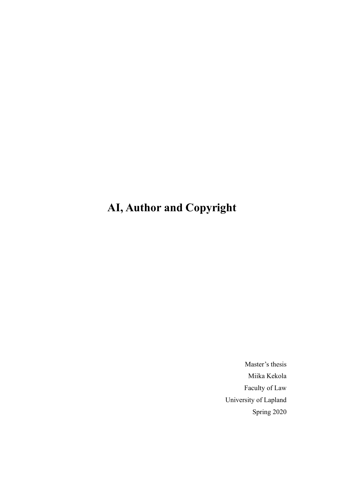# **AI, Author and Copyright**

Master's thesis Miika Kekola Faculty of Law University of Lapland Spring 2020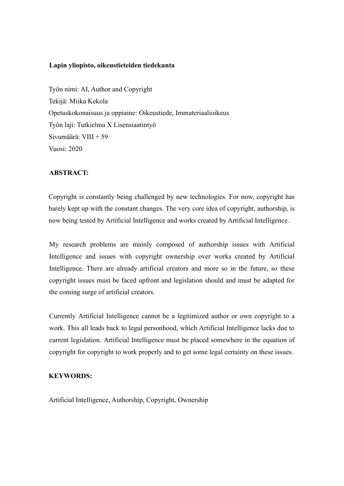#### **Lapin yliopisto, oikeustieteiden tiedekunta**

Työn nimi: AI, Author and Copyright Tekijä: Miika Kekola Opetuskokonaisuus ja oppiaine: Oikeustiede, Immateriaalioikeus Työn laji: Tutkielma X Lisensiaatintyö Sivumäärä: VIII + 59 Vuosi: 2020

#### **ABSTRACT:**

Copyright is constantly being challenged by new technologies. For now, copyright has barely kept up with the constant changes. The very core idea of copyright, authorship, is now being tested by Artificial Intelligence and works created by Artificial Intelligence.

My research problems are mainly composed of authorship issues with Artificial Intelligence and issues with copyright ownership over works created by Artificial Intelligence. There are already artificial creators and more so in the future, so these copyright issues must be faced upfront and legislation should and must be adapted for the coming surge of artificial creators.

Currently Artificial Intelligence cannot be a legitimized author or own copyright to a work. This all leads back to legal personhood, which Artificial Intelligence lacks due to current legislation. Artificial Intelligence must be placed somewhere in the equation of copyright for copyright to work properly and to get some legal certainty on these issues.

#### **KEYWORDS:**

Artificial Intelligence, Authorship, Copyright, Ownership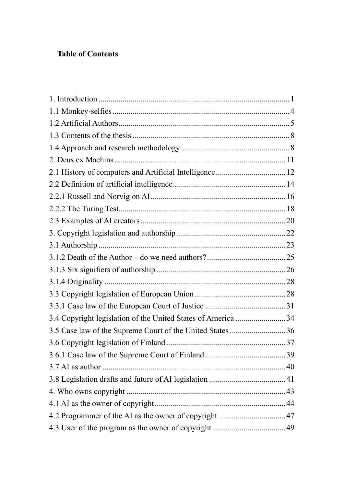# **Table of Contents**

| 3.4 Copyright legislation of the United States of America 34 |  |
|--------------------------------------------------------------|--|
| 3.5 Case law of the Supreme Court of the United States36     |  |
|                                                              |  |
|                                                              |  |
|                                                              |  |
|                                                              |  |
|                                                              |  |
|                                                              |  |
|                                                              |  |
|                                                              |  |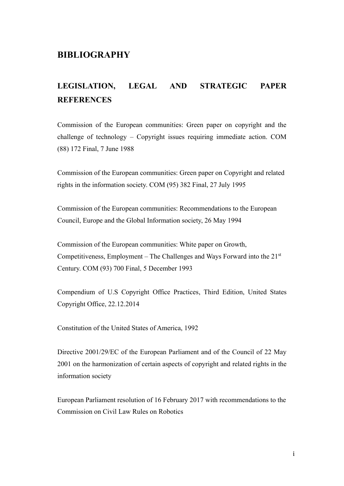#### **BIBLIOGRAPHY**

# **LEGISLATION, LEGAL AND STRATEGIC PAPER REFERENCES**

Commission of the European communities: Green paper on copyright and the challenge of technology – Copyright issues requiring immediate action. COM (88) 172 Final, 7 June 1988

Commission of the European communities: Green paper on Copyright and related rights in the information society. COM (95) 382 Final, 27 July 1995

Commission of the European communities: Recommendations to the European Council, Europe and the Global Information society, 26 May 1994

Commission of the European communities: White paper on Growth, Competitiveness, Employment – The Challenges and Ways Forward into the  $21<sup>st</sup>$ Century. COM (93) 700 Final, 5 December 1993

Compendium of U.S Copyright Office Practices, Third Edition, United States Copyright Office, 22.12.2014

Constitution of the United States of America, 1992

Directive 2001/29/EC of the European Parliament and of the Council of 22 May 2001 on the harmonization of certain aspects of copyright and related rights in the information society

European Parliament resolution of 16 February 2017 with recommendations to the Commission on Civil Law Rules on Robotics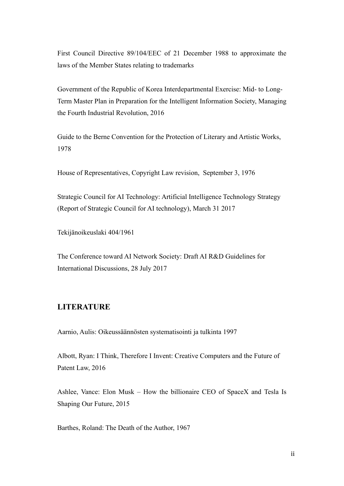First Council Directive 89/104/EEC of 21 December 1988 to approximate the laws of the Member States relating to trademarks

Government of the Republic of Korea Interdepartmental Exercise: Mid- to Long-Term Master Plan in Preparation for the Intelligent Information Society, Managing the Fourth Industrial Revolution, 2016

Guide to the Berne Convention for the Protection of Literary and Artistic Works, 1978

House of Representatives, Copyright Law revision, September 3, 1976

Strategic Council for AI Technology: Artificial Intelligence Technology Strategy (Report of Strategic Council for AI technology), March 31 2017

Tekijänoikeuslaki 404/1961

The Conference toward AI Network Society: Draft AI R&D Guidelines for International Discussions, 28 July 2017

#### **LITERATURE**

Aarnio, Aulis: Oikeussäännösten systematisointi ja tulkinta 1997

Albott, Ryan: I Think, Therefore I Invent: Creative Computers and the Future of Patent Law, 2016

Ashlee, Vance: Elon Musk – How the billionaire CEO of SpaceX and Tesla Is Shaping Our Future, 2015

Barthes, Roland: The Death of the Author, 1967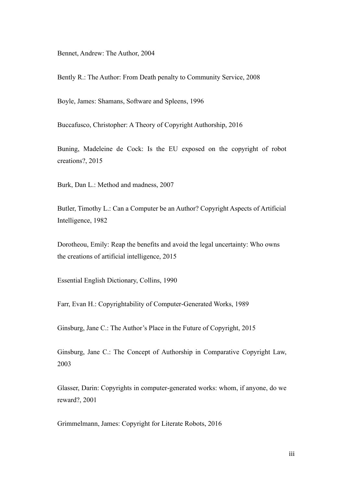Bennet, Andrew: The Author, 2004

Bently R.: The Author: From Death penalty to Community Service, 2008

Boyle, James: Shamans, Software and Spleens, 1996

Buccafusco, Christopher: A Theory of Copyright Authorship, 2016

Buning, Madeleine de Cock: Is the EU exposed on the copyright of robot creations?, 2015

Burk, Dan L.: Method and madness, 2007

Butler, Timothy L.: Can a Computer be an Author? Copyright Aspects of Artificial Intelligence, 1982

Dorotheou, Emily: Reap the benefits and avoid the legal uncertainty: Who owns the creations of artificial intelligence, 2015

Essential English Dictionary, Collins, 1990

Farr, Evan H.: Copyrightability of Computer-Generated Works, 1989

Ginsburg, Jane C.: The Author's Place in the Future of Copyright, 2015

Ginsburg, Jane C.: The Concept of Authorship in Comparative Copyright Law, 2003

Glasser, Darin: Copyrights in computer-generated works: whom, if anyone, do we reward?, 2001

Grimmelmann, James: Copyright for Literate Robots, 2016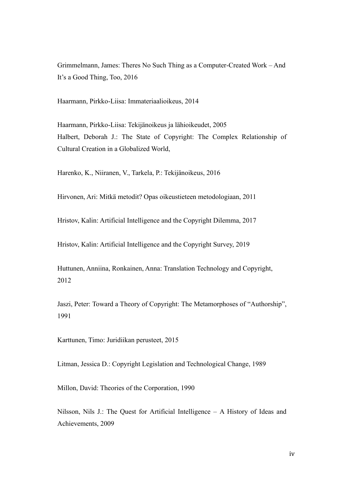Grimmelmann, James: Theres No Such Thing as a Computer-Created Work – And It's a Good Thing, Too, 2016

Haarmann, Pirkko-Liisa: Immateriaalioikeus, 2014

Haarmann, Pirkko-Liisa: Tekijänoikeus ja lähioikeudet, 2005 Halbert, Deborah J.: The State of Copyright: The Complex Relationship of Cultural Creation in a Globalized World,

Harenko, K., Niiranen, V., Tarkela, P.: Tekijänoikeus, 2016

Hirvonen, Ari: Mitkä metodit? Opas oikeustieteen metodologiaan, 2011

Hristov, Kalin: Artificial Intelligence and the Copyright Dilemma, 2017

Hristov, Kalin: Artificial Intelligence and the Copyright Survey, 2019

Huttunen, Anniina, Ronkainen, Anna: Translation Technology and Copyright, 2012

Jaszi, Peter: Toward a Theory of Copyright: The Metamorphoses of "Authorship", 1991

Karttunen, Timo: Juridiikan perusteet, 2015

Litman, Jessica D.: Copyright Legislation and Technological Change, 1989

Millon, David: Theories of the Corporation, 1990

Nilsson, Nils J.: The Quest for Artificial Intelligence – A History of Ideas and Achievements, 2009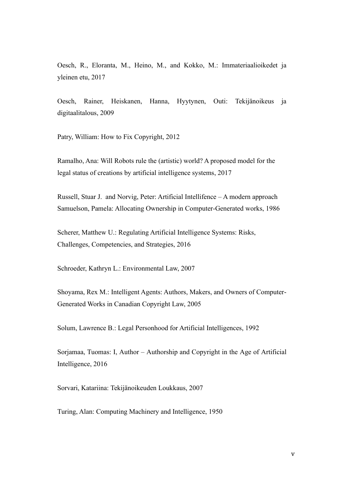Oesch, R., Eloranta, M., Heino, M., and Kokko, M.: Immateriaalioikedet ja yleinen etu, 2017

Oesch, Rainer, Heiskanen, Hanna, Hyytynen, Outi: Tekijänoikeus ja digitaalitalous, 2009

Patry, William: How to Fix Copyright, 2012

Ramalho, Ana: Will Robots rule the (artistic) world? A proposed model for the legal status of creations by artificial intelligence systems, 2017

Russell, Stuar J. and Norvig, Peter: Artificial Intellifence – A modern approach Samuelson, Pamela: Allocating Ownership in Computer-Generated works, 1986

Scherer, Matthew U.: Regulating Artificial Intelligence Systems: Risks, Challenges, Competencies, and Strategies, 2016

Schroeder, Kathryn L.: Environmental Law, 2007

Shoyama, Rex M.: Intelligent Agents: Authors, Makers, and Owners of Computer-Generated Works in Canadian Copyright Law, 2005

Solum, Lawrence B.: Legal Personhood for Artificial Intelligences, 1992

Sorjamaa, Tuomas: I, Author – Authorship and Copyright in the Age of Artificial Intelligence, 2016

Sorvari, Katariina: Tekijänoikeuden Loukkaus, 2007

Turing, Alan: Computing Machinery and Intelligence, 1950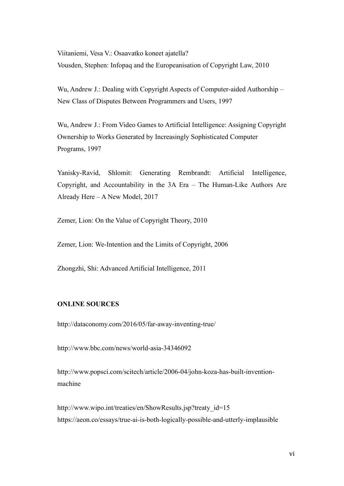Viitaniemi, Vesa V.: Osaavatko koneet ajatella? Vousden, Stephen: Infopaq and the Europeanisation of Copyright Law, 2010

Wu, Andrew J.: Dealing with Copyright Aspects of Computer-aided Authorship – New Class of Disputes Between Programmers and Users, 1997

Wu, Andrew J.: From Video Games to Artificial Intelligence: Assigning Copyright Ownership to Works Generated by Increasingly Sophisticated Computer Programs, 1997

Yanisky-Ravid, Shlomit: Generating Rembrandt: Artificial Intelligence, Copyright, and Accountability in the 3A Era – The Human-Like Authors Are Already Here – A New Model, 2017

Zemer, Lion: On the Value of Copyright Theory, 2010

Zemer, Lion: We-Intention and the Limits of Copyright, 2006

Zhongzhi, Shi: Advanced Artificial Intelligence, 2011

#### **ONLINE SOURCES**

http://dataconomy.com/2016/05/far-away-inventing-true/

http://www.bbc.com/news/world-asia-34346092

http://www.popsci.com/scitech/article/2006-04/john-koza-has-built-inventionmachine

http://www.wipo.int/treaties/en/ShowResults.jsp?treaty\_id=15 https://aeon.co/essays/true-ai-is-both-logically-possible-and-utterly-implausible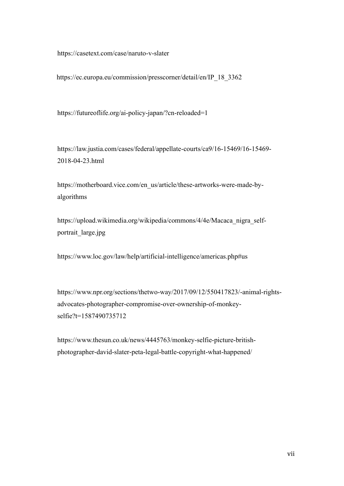https://casetext.com/case/naruto-v-slater

https://ec.europa.eu/commission/presscorner/detail/en/IP\_18\_3362

https://futureoflife.org/ai-policy-japan/?cn-reloaded=1

https://law.justia.com/cases/federal/appellate-courts/ca9/16-15469/16-15469- 2018-04-23.html

https://motherboard.vice.com/en\_us/article/these-artworks-were-made-byalgorithms

https://upload.wikimedia.org/wikipedia/commons/4/4e/Macaca\_nigra\_selfportrait\_large.jpg

https://www.loc.gov/law/help/artificial-intelligence/americas.php#us

https://www.npr.org/sections/thetwo-way/2017/09/12/550417823/-animal-rightsadvocates-photographer-compromise-over-ownership-of-monkeyselfie?t=1587490735712

https://www.thesun.co.uk/news/4445763/monkey-selfie-picture-britishphotographer-david-slater-peta-legal-battle-copyright-what-happened/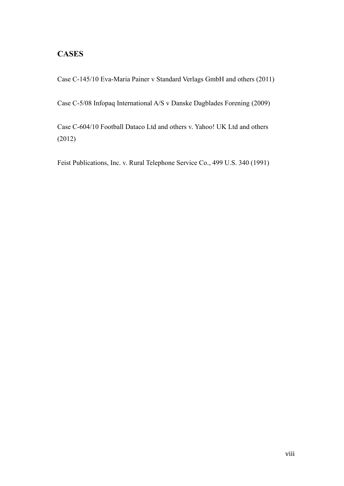#### **CASES**

Case C-145/10 Eva-Maria Painer v Standard Verlags GmbH and others (2011)

Case C-5/08 Infopaq International A/S v Danske Dagblades Forening (2009)

Case C-604/10 Football Dataco Ltd and others v. Yahoo! UK Ltd and others (2012)

Feist Publications, Inc. v. Rural Telephone Service Co., 499 U.S. 340 (1991)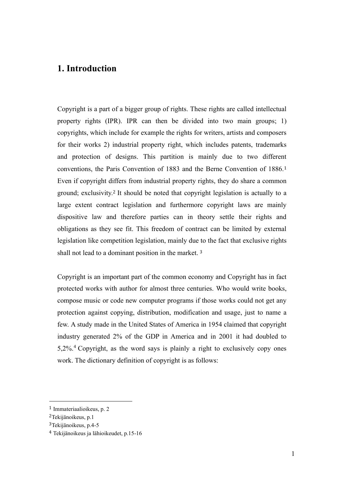# <span id="page-12-0"></span>**1. Introduction**

Copyright is a part of a bigger group of rights. These rights are called intellectual property rights (IPR). IPR can then be divided into two main groups; 1) copyrights, which include for example the rights for writers, artists and composers for their works 2) industrial property right, which includes patents, trademarks and protection of designs. This partition is mainly due to two different conventions, the Paris Convention of 1883 and the Berne Convention of 1886.<sup>1</sup> Even if copyright differs from industrial property rights, they do share a common ground; exclusivity.<sup>2</sup> It should be noted that copyright legislation is actually to a large extent contract legislation and furthermore copyright laws are mainly dispositive law and therefore parties can in theory settle their rights and obligations as they see fit. This freedom of contract can be limited by external legislation like competition legislation, mainly due to the fact that exclusive rights shall not lead to a dominant position in the market. <sup>3</sup>

Copyright is an important part of the common economy and Copyright has in fact protected works with author for almost three centuries. Who would write books, compose music or code new computer programs if those works could not get any protection against copying, distribution, modification and usage, just to name a few. A study made in the United States of America in 1954 claimed that copyright industry generated 2% of the GDP in America and in 2001 it had doubled to  $5,2\%$ <sup>4</sup> Copyright, as the word says is plainly a right to exclusively copy ones work. The dictionary definition of copyright is as follows:

<sup>1</sup> Immateriaalioikeus, p. 2

<sup>2</sup>Tekijänoikeus, p.1

<sup>3</sup>Tekijänoikeus, p.4-5

<sup>4</sup> Tekijänoikeus ja lähioikeudet, p.15-16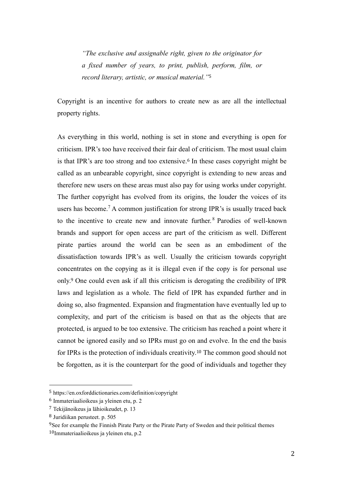*"The exclusive and assignable right, given to the originator for a fixed number of years, to print, publish, perform, film, or record literary, artistic, or musical material."*<sup>5</sup>

Copyright is an incentive for authors to create new as are all the intellectual property rights.

As everything in this world, nothing is set in stone and everything is open for criticism. IPR's too have received their fair deal of criticism. The most usual claim is that IPR's are too strong and too extensive.<sup>6</sup> In these cases copyright might be called as an unbearable copyright, since copyright is extending to new areas and therefore new users on these areas must also pay for using works under copyright. The further copyright has evolved from its origins, the louder the voices of its users has become.<sup>7</sup> A common justification for strong IPR's is usually traced back to the incentive to create new and innovate further. <sup>8</sup> Parodies of well-known brands and support for open access are part of the criticism as well. Different pirate parties around the world can be seen as an embodiment of the dissatisfaction towards IPR's as well. Usually the criticism towards copyright concentrates on the copying as it is illegal even if the copy is for personal use only.<sup>9</sup> One could even ask if all this criticism is derogating the credibility of IPR laws and legislation as a whole. The field of IPR has expanded further and in doing so, also fragmented. Expansion and fragmentation have eventually led up to complexity, and part of the criticism is based on that as the objects that are protected, is argued to be too extensive. The criticism has reached a point where it cannot be ignored easily and so IPRs must go on and evolve. In the end the basis for IPRs is the protection of individuals creativity.<sup>10</sup> The common good should not be forgotten, as it is the counterpart for the good of individuals and together they

<sup>5</sup> https://en.oxforddictionaries.com/definition/copyright

<sup>6</sup> Immateriaalioikeus ja yleinen etu, p. 2

<sup>7</sup> Tekijänoikeus ja lähioikeudet, p. 13

<sup>8</sup> Juridiikan perusteet. p. 505

<sup>&</sup>lt;sup>9</sup>See for example the Finnish Pirate Party or the Pirate Party of Sweden and their political themes

<sup>10</sup>Immateriaalioikeus ja yleinen etu, p.2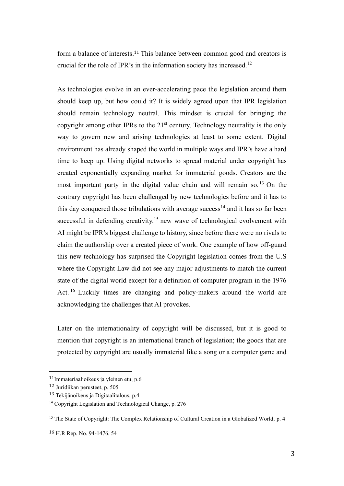form a balance of interests.<sup>11</sup> This balance between common good and creators is crucial for the role of IPR's in the information society has increased.<sup>12</sup>

As technologies evolve in an ever-accelerating pace the legislation around them should keep up, but how could it? It is widely agreed upon that IPR legislation should remain technology neutral. This mindset is crucial for bringing the copyright among other IPRs to the  $21<sup>st</sup>$  century. Technology neutrality is the only way to govern new and arising technologies at least to some extent. Digital environment has already shaped the world in multiple ways and IPR's have a hard time to keep up. Using digital networks to spread material under copyright has created exponentially expanding market for immaterial goods. Creators are the most important party in the digital value chain and will remain so.<sup>13</sup> On the contrary copyright has been challenged by new technologies before and it has to this day conquered those tribulations with average success<sup>14</sup> and it has so far been successful in defending creativity.<sup>15</sup> new wave of technological evolvement with AI might be IPR's biggest challenge to history, since before there were no rivals to claim the authorship over a created piece of work. One example of how off-guard this new technology has surprised the Copyright legislation comes from the U.S where the Copyright Law did not see any major adjustments to match the current state of the digital world except for a definition of computer program in the 1976 Act.<sup>16</sup> Luckily times are changing and policy-makers around the world are acknowledging the challenges that AI provokes.

Later on the internationality of copyright will be discussed, but it is good to mention that copyright is an international branch of legislation; the goods that are protected by copyright are usually immaterial like a song or a computer game and

<sup>11</sup>Immateriaalioikeus ja yleinen etu, p.6

<sup>12</sup> Juridiikan perusteet, p. 505

<sup>13</sup> Tekijänoikeus ja Digitaalitalous, p.4

<sup>&</sup>lt;sup>14</sup> Copyright Legislation and Technological Change, p. 276

<sup>&</sup>lt;sup>15</sup> The State of Copyright: The Complex Relationship of Cultural Creation in a Globalized World, p. 4

<sup>16</sup> H.R Rep. No. 94-1476, 54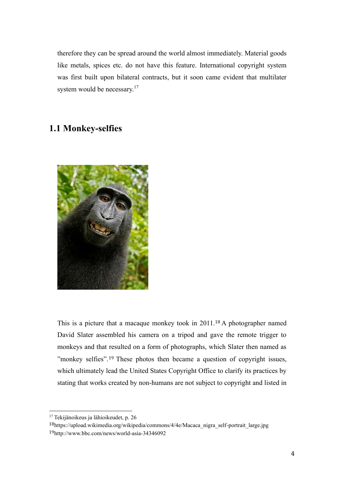therefore they can be spread around the world almost immediately. Material goods like metals, spices etc. do not have this feature. International copyright system was first built upon bilateral contracts, but it soon came evident that multilater system would be necessary.<sup>17</sup>

### <span id="page-15-0"></span>**1.1 Monkey-selfies**



This is a picture that a macaque monkey took in 2011.<sup>18</sup> A photographer named David Slater assembled his camera on a tripod and gave the remote trigger to monkeys and that resulted on a form of photographs, which Slater then named as "monkey selfies".<sup>19</sup> These photos then became a question of copyright issues, which ultimately lead the United States Copyright Office to clarify its practices by stating that works created by non-humans are not subject to copyright and listed in

<sup>&</sup>lt;sup>17</sup> Tekijänoikeus ja lähioikeudet, p. 26

<sup>18</sup>https://upload.wikimedia.org/wikipedia/commons/4/4e/Macaca\_nigra\_self-portrait\_large.jpg

<sup>19</sup>http://www.bbc.com/news/world-asia-34346092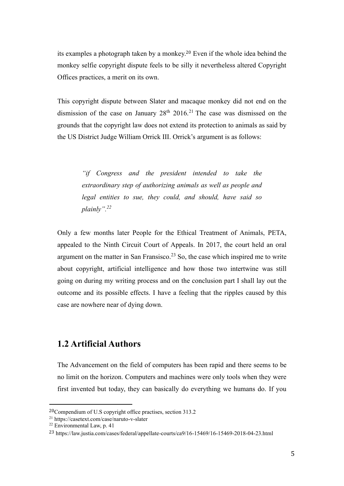its examples a photograph taken by a monkey.<sup>20</sup> Even if the whole idea behind the monkey selfie copyright dispute feels to be silly it nevertheless altered Copyright Offices practices, a merit on its own.

This copyright dispute between Slater and macaque monkey did not end on the dismission of the case on January  $28<sup>th</sup> 2016<sup>21</sup>$  The case was dismissed on the grounds that the copyright law does not extend its protection to animals as said by the US District Judge William Orrick III. Orrick's argument is as follows:

> *"if Congress and the president intended to take the extraordinary step of authorizing animals as well as people and legal entities to sue, they could, and should, have said so plainly".<sup>22</sup>*

Only a few months later People for the Ethical Treatment of Animals, PETA, appealed to the Ninth Circuit Court of Appeals. In 2017, the court held an oral argument on the matter in San Fransisco.<sup>23</sup> So, the case which inspired me to write about copyright, artificial intelligence and how those two intertwine was still going on during my writing process and on the conclusion part I shall lay out the outcome and its possible effects. I have a feeling that the ripples caused by this case are nowhere near of dying down.

# <span id="page-16-0"></span>**1.2 Artificial Authors**

The Advancement on the field of computers has been rapid and there seems to be no limit on the horizon. Computers and machines were only tools when they were first invented but today, they can basically do everything we humans do. If you

<sup>20</sup>Compendium of U.S copyright office practises, section 313.2

<sup>21</sup> https://casetext.com/case/naruto-v-slater

 $22$  Environmental Law, p. 41

<sup>23</sup> https://law.justia.com/cases/federal/appellate-courts/ca9/16-15469/16-15469-2018-04-23.html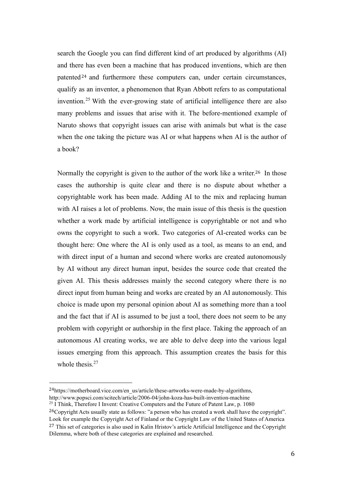search the Google you can find different kind of art produced by algorithms (AI) and there has even been a machine that has produced inventions, which are then patented <sup>24</sup> and furthermore these computers can, under certain circumstances, qualify as an inventor, a phenomenon that Ryan Abbott refers to as computational invention.<sup>25</sup> With the ever-growing state of artificial intelligence there are also many problems and issues that arise with it. The before-mentioned example of Naruto shows that copyright issues can arise with animals but what is the case when the one taking the picture was AI or what happens when AI is the author of a book?

Normally the copyright is given to the author of the work like a writer.<sup>26</sup> In those cases the authorship is quite clear and there is no dispute about whether a copyrightable work has been made. Adding AI to the mix and replacing human with AI raises a lot of problems. Now, the main issue of this thesis is the question whether a work made by artificial intelligence is copyrightable or not and who owns the copyright to such a work. Two categories of AI-created works can be thought here: One where the AI is only used as a tool, as means to an end, and with direct input of a human and second where works are created autonomously by AI without any direct human input, besides the source code that created the given AI. This thesis addresses mainly the second category where there is no direct input from human being and works are created by an AI autonomously. This choice is made upon my personal opinion about AI as something more than a tool and the fact that if AI is assumed to be just a tool, there does not seem to be any problem with copyright or authorship in the first place. Taking the approach of an autonomous AI creating works, we are able to delve deep into the various legal issues emerging from this approach. This assumption creates the basis for this whole thesis.<sup>27</sup>

<sup>24</sup>https://motherboard.vice.com/en\_us/article/these-artworks-were-made-by-algorithms, http://www.popsci.com/scitech/article/2006-04/john-koza-has-built-invention-machine

<sup>&</sup>lt;sup>25</sup> I Think, Therefore I Invent: Creative Computers and the Future of Patent Law, p. 1080

<sup>&</sup>lt;sup>26</sup>Copyright Acts usually state as follows: "a person who has created a work shall have the copyright". Look for example the Copyright Act of Finland or the Copyright Law of the United States of America <sup>27</sup> This set of categories is also used in Kalin Hristov's article Artificial Intelligence and the Copyright Dilemma, where both of these categories are explained and researched.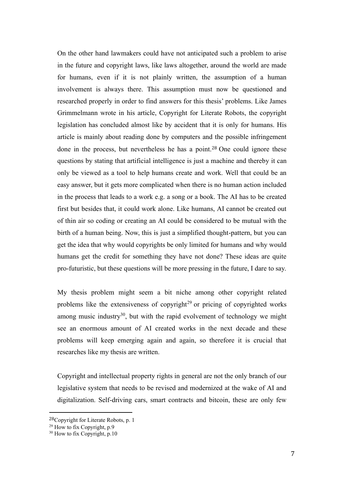On the other hand lawmakers could have not anticipated such a problem to arise in the future and copyright laws, like laws altogether, around the world are made for humans, even if it is not plainly written, the assumption of a human involvement is always there. This assumption must now be questioned and researched properly in order to find answers for this thesis' problems. Like James Grimmelmann wrote in his article, Copyright for Literate Robots, the copyright legislation has concluded almost like by accident that it is only for humans. His article is mainly about reading done by computers and the possible infringement done in the process, but nevertheless he has a point.<sup>28</sup> One could ignore these questions by stating that artificial intelligence is just a machine and thereby it can only be viewed as a tool to help humans create and work. Well that could be an easy answer, but it gets more complicated when there is no human action included in the process that leads to a work e.g. a song or a book. The AI has to be created first but besides that, it could work alone. Like humans, AI cannot be created out of thin air so coding or creating an AI could be considered to be mutual with the birth of a human being. Now, this is just a simplified thought-pattern, but you can get the idea that why would copyrights be only limited for humans and why would humans get the credit for something they have not done? These ideas are quite pro-futuristic, but these questions will be more pressing in the future, I dare to say.

My thesis problem might seem a bit niche among other copyright related problems like the extensiveness of copyright<sup>29</sup> or pricing of copyrighted works among music industry $30$ , but with the rapid evolvement of technology we might see an enormous amount of AI created works in the next decade and these problems will keep emerging again and again, so therefore it is crucial that researches like my thesis are written.

Copyright and intellectual property rights in general are not the only branch of our legislative system that needs to be revised and modernized at the wake of AI and digitalization. Self-driving cars, smart contracts and bitcoin, these are only few

<sup>28</sup>Copyright for Literate Robots, p. 1

 $29$  How to fix Copyright, p.9

 $30$  How to fix Copyright, p.10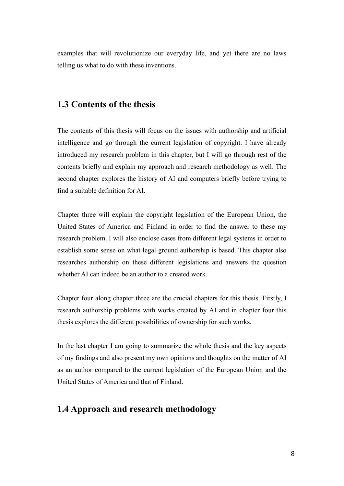examples that will revolutionize our everyday life, and yet there are no laws telling us what to do with these inventions.

#### <span id="page-19-0"></span>**1.3 Contents of the thesis**

The contents of this thesis will focus on the issues with authorship and artificial intelligence and go through the current legislation of copyright. I have already introduced my research problem in this chapter, but I will go through rest of the contents briefly and explain my approach and research methodology as well. The second chapter explores the history of AI and computers briefly before trying to find a suitable definition for AI.

Chapter three will explain the copyright legislation of the European Union, the United States of America and Finland in order to find the answer to these my research problem. I will also enclose cases from different legal systems in order to establish some sense on what legal ground authorship is based. This chapter also researches authorship on these different legislations and answers the question whether AI can indeed be an author to a created work.

Chapter four along chapter three are the crucial chapters for this thesis. Firstly, I research authorship problems with works created by AI and in chapter four this thesis explores the different possibilities of ownership for such works.

In the last chapter I am going to summarize the whole thesis and the key aspects of my findings and also present my own opinions and thoughts on the matter of AI as an author compared to the current legislation of the European Union and the United States of America and that of Finland.

# <span id="page-19-1"></span>**1.4 Approach and research methodology**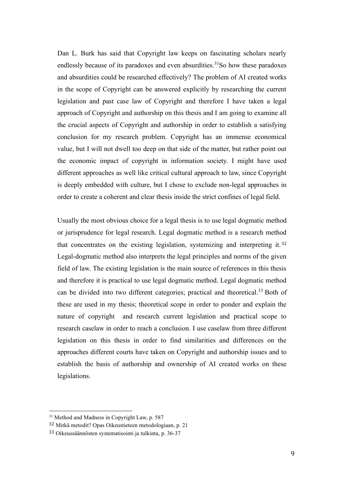Dan L. Burk has said that Copyright law keeps on fascinating scholars nearly endlessly because of its paradoxes and even absurdities.<sup>31</sup>So how these paradoxes and absurdities could be researched effectively? The problem of AI created works in the scope of Copyright can be answered explicitly by researching the current legislation and past case law of Copyright and therefore I have taken a legal approach of Copyright and authorship on this thesis and I am going to examine all the crucial aspects of Copyright and authorship in order to establish a satisfying conclusion for my research problem. Copyright has an immense economical value, but I will not dwell too deep on that side of the matter, but rather point out the economic impact of copyright in information society. I might have used different approaches as well like critical cultural approach to law, since Copyright is deeply embedded with culture, but I chose to exclude non-legal approaches in order to create a coherent and clear thesis inside the strict confines of legal field.

Usually the most obvious choice for a legal thesis is to use legal dogmatic method or jurisprudence for legal research. Legal dogmatic method is a research method that concentrates on the existing legislation, systemizing and interpreting it. <sup>32</sup> Legal-dogmatic method also interprets the legal principles and norms of the given field of law. The existing legislation is the main source of references in this thesis and therefore it is practical to use legal dogmatic method. Legal dogmatic method can be divided into two different categories; practical and theoretical.<sup>33</sup> Both of these are used in my thesis; theoretical scope in order to ponder and explain the nature of copyright and research current legislation and practical scope to research caselaw in order to reach a conclusion. I use caselaw from three different legislation on this thesis in order to find similarities and differences on the approaches different courts have taken on Copyright and authorship issues and to establish the basis of authorship and ownership of AI created works on these legislations.

<sup>&</sup>lt;sup>31</sup> Method and Madness in Copyright Law, p. 587

<sup>32</sup> Mitkä metodit? Opas Oikeustieteen metodologiaan, p. 21

<sup>33</sup> Oikeussäännösten systematisointi ja tulkinta, p. 36-37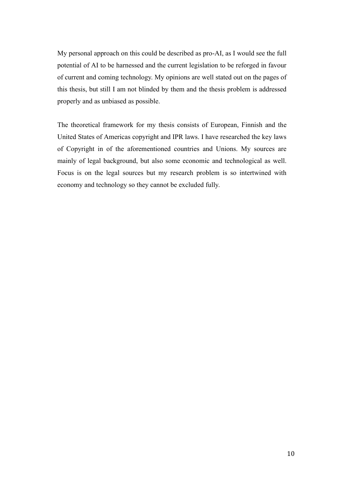My personal approach on this could be described as pro-AI, as I would see the full potential of AI to be harnessed and the current legislation to be reforged in favour of current and coming technology. My opinions are well stated out on the pages of this thesis, but still I am not blinded by them and the thesis problem is addressed properly and as unbiased as possible.

The theoretical framework for my thesis consists of European, Finnish and the United States of Americas copyright and IPR laws. I have researched the key laws of Copyright in of the aforementioned countries and Unions. My sources are mainly of legal background, but also some economic and technological as well. Focus is on the legal sources but my research problem is so intertwined with economy and technology so they cannot be excluded fully.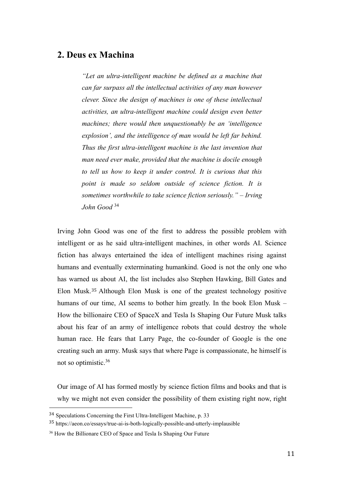# <span id="page-22-0"></span>**2. Deus ex Machina**

*"Let an ultra-intelligent machine be defined as a machine that can far surpass all the intellectual activities of any man however clever. Since the design of machines is one of these intellectual activities, an ultra-intelligent machine could design even better machines; there would then unquestionably be an 'intelligence explosion', and the intelligence of man would be left far behind. Thus the first ultra-intelligent machine is the last invention that man need ever make, provided that the machine is docile enough to tell us how to keep it under control. It is curious that this point is made so seldom outside of science fiction. It is sometimes worthwhile to take science fiction seriously." – Irving John Good* <sup>34</sup>

Irving John Good was one of the first to address the possible problem with intelligent or as he said ultra-intelligent machines, in other words AI. Science fiction has always entertained the idea of intelligent machines rising against humans and eventually exterminating humankind. Good is not the only one who has warned us about AI, the list includes also Stephen Hawking, Bill Gates and Elon Musk.<sup>35</sup> Although Elon Musk is one of the greatest technology positive humans of our time, AI seems to bother him greatly. In the book Elon Musk – How the billionaire CEO of SpaceX and Tesla Is Shaping Our Future Musk talks about his fear of an army of intelligence robots that could destroy the whole human race. He fears that Larry Page, the co-founder of Google is the one creating such an army. Musk says that where Page is compassionate, he himself is not so optimistic.<sup>36</sup>

Our image of AI has formed mostly by science fiction films and books and that is why we might not even consider the possibility of them existing right now, right

<sup>34</sup> Speculations Concerning the First Ultra-Intelligent Machine, p. 33

<sup>35</sup> https://aeon.co/essays/true-ai-is-both-logically-possible-and-utterly-implausible

<sup>36</sup> How the Billionare CEO of Space and Tesla Is Shaping Our Future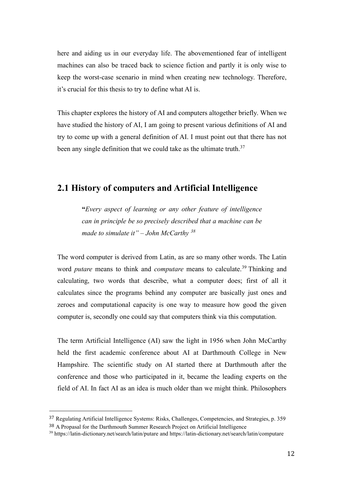here and aiding us in our everyday life. The abovementioned fear of intelligent machines can also be traced back to science fiction and partly it is only wise to keep the worst-case scenario in mind when creating new technology. Therefore, it's crucial for this thesis to try to define what AI is.

This chapter explores the history of AI and computers altogether briefly. When we have studied the history of AI, I am going to present various definitions of AI and try to come up with a general definition of AI. I must point out that there has not been any single definition that we could take as the ultimate truth.<sup>37</sup>

### <span id="page-23-0"></span>**2.1 History of computers and Artificial Intelligence**

**"***Every aspect of learning or any other feature of intelligence can in principle be so precisely described that a machine can be made to simulate it" – John McCarthy <sup>38</sup>*

The word computer is derived from Latin, as are so many other words. The Latin word *putare* means to think and *computare* means to calculate.<sup>39</sup> Thinking and calculating, two words that describe, what a computer does; first of all it calculates since the programs behind any computer are basically just ones and zeroes and computational capacity is one way to measure how good the given computer is, secondly one could say that computers think via this computation.

The term Artificial Intelligence (AI) saw the light in 1956 when John McCarthy held the first academic conference about AI at Darthmouth College in New Hampshire. The scientific study on AI started there at Darthmouth after the conference and those who participated in it, became the leading experts on the field of AI. In fact AI as an idea is much older than we might think. Philosophers

<sup>37</sup> Regulating Artificial Intelligence Systems: Risks, Challenges, Competencies, and Strategies, p. 359 <sup>38</sup> A Propasal for the Darthmouth Summer Research Project on Artificial Intelligence

<sup>39</sup> https://latin-dictionary.net/search/latin/putare and https://latin-dictionary.net/search/latin/computare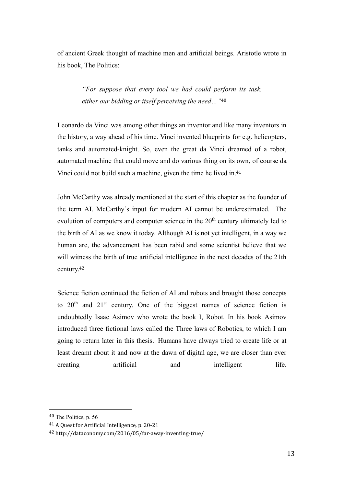of ancient Greek thought of machine men and artificial beings. Aristotle wrote in his book, The Politics:

> *"For suppose that every tool we had could perform its task, either our bidding or itself perceiving the need…"*<sup>40</sup>

Leonardo da Vinci was among other things an inventor and like many inventors in the history, a way ahead of his time. Vinci invented blueprints for e.g. helicopters, tanks and automated-knight. So, even the great da Vinci dreamed of a robot, automated machine that could move and do various thing on its own, of course da Vinci could not build such a machine, given the time he lived in.<sup>41</sup>

John McCarthy was already mentioned at the start of this chapter as the founder of the term AI. McCarthy's input for modern AI cannot be underestimated. The evolution of computers and computer science in the  $20<sup>th</sup>$  century ultimately led to the birth of AI as we know it today. Although AI is not yet intelligent, in a way we human are, the advancement has been rabid and some scientist believe that we will witness the birth of true artificial intelligence in the next decades of the 21th century.<sup>42</sup>

Science fiction continued the fiction of AI and robots and brought those concepts to  $20<sup>th</sup>$  and  $21<sup>st</sup>$  century. One of the biggest names of science fiction is undoubtedly Isaac Asimov who wrote the book I, Robot. In his book Asimov introduced three fictional laws called the Three laws of Robotics, to which I am going to return later in this thesis. Humans have always tried to create life or at least dreamt about it and now at the dawn of digital age, we are closer than ever creating artificial and intelligent life.

<sup>40</sup> The Politics, p. 56

<sup>41</sup> A Quest for Artificial Intelligence, p. 20-21

<sup>42</sup> http://dataconomy.com/2016/05/far-away-inventing-true/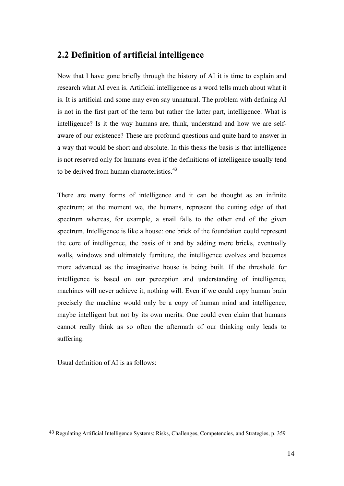### <span id="page-25-0"></span>**2.2 Definition of artificial intelligence**

Now that I have gone briefly through the history of AI it is time to explain and research what AI even is. Artificial intelligence as a word tells much about what it is. It is artificial and some may even say unnatural. The problem with defining AI is not in the first part of the term but rather the latter part, intelligence. What is intelligence? Is it the way humans are, think, understand and how we are selfaware of our existence? These are profound questions and quite hard to answer in a way that would be short and absolute. In this thesis the basis is that intelligence is not reserved only for humans even if the definitions of intelligence usually tend to be derived from human characteristics.<sup>43</sup>

There are many forms of intelligence and it can be thought as an infinite spectrum; at the moment we, the humans, represent the cutting edge of that spectrum whereas, for example, a snail falls to the other end of the given spectrum. Intelligence is like a house: one brick of the foundation could represent the core of intelligence, the basis of it and by adding more bricks, eventually walls, windows and ultimately furniture, the intelligence evolves and becomes more advanced as the imaginative house is being built. If the threshold for intelligence is based on our perception and understanding of intelligence, machines will never achieve it, nothing will. Even if we could copy human brain precisely the machine would only be a copy of human mind and intelligence, maybe intelligent but not by its own merits. One could even claim that humans cannot really think as so often the aftermath of our thinking only leads to suffering.

Usual definition of AI is as follows:

<sup>43</sup> Regulating Artificial Intelligence Systems: Risks, Challenges, Competencies, and Strategies, p. 359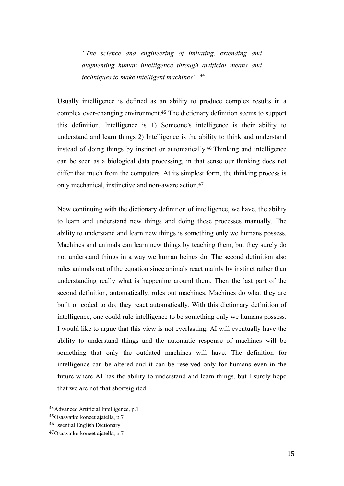*"The science and engineering of imitating, extending and augmenting human intelligence through artificial means and techniques to make intelligent machines".* <sup>44</sup>

Usually intelligence is defined as an ability to produce complex results in a complex ever-changing environment.<sup>45</sup> The dictionary definition seems to support this definition. Intelligence is 1) Someone's intelligence is their ability to understand and learn things 2) Intelligence is the ability to think and understand instead of doing things by instinct or automatically.<sup>46</sup> Thinking and intelligence can be seen as a biological data processing, in that sense our thinking does not differ that much from the computers. At its simplest form, the thinking process is only mechanical, instinctive and non-aware action.<sup>47</sup>

Now continuing with the dictionary definition of intelligence, we have, the ability to learn and understand new things and doing these processes manually*.* The ability to understand and learn new things is something only we humans possess. Machines and animals can learn new things by teaching them, but they surely do not understand things in a way we human beings do. The second definition also rules animals out of the equation since animals react mainly by instinct rather than understanding really what is happening around them. Then the last part of the second definition, automatically, rules out machines. Machines do what they are built or coded to do; they react automatically. With this dictionary definition of intelligence, one could rule intelligence to be something only we humans possess. I would like to argue that this view is not everlasting. AI will eventually have the ability to understand things and the automatic response of machines will be something that only the outdated machines will have. The definition for intelligence can be altered and it can be reserved only for humans even in the future where AI has the ability to understand and learn things, but I surely hope that we are not that shortsighted.

<sup>44</sup>Advanced Artificial Intelligence, p.1

<sup>45</sup>Osaavatko koneet ajatella, p.7

<sup>46</sup>Essential English Dictionary

<sup>47</sup>Osaavatko koneet ajatella, p.7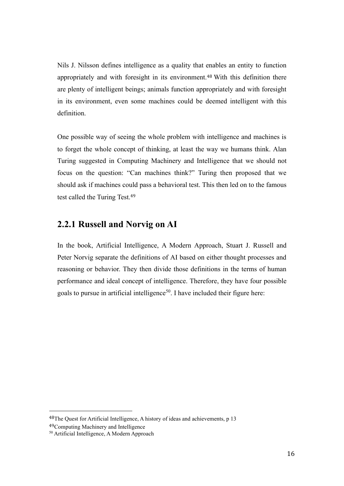Nils J. Nilsson defines intelligence as a quality that enables an entity to function appropriately and with foresight in its environment.<sup>48</sup> With this definition there are plenty of intelligent beings; animals function appropriately and with foresight in its environment, even some machines could be deemed intelligent with this definition.

One possible way of seeing the whole problem with intelligence and machines is to forget the whole concept of thinking, at least the way we humans think. Alan Turing suggested in Computing Machinery and Intelligence that we should not focus on the question: "Can machines think?" Turing then proposed that we should ask if machines could pass a behavioral test. This then led on to the famous test called the Turing Test.<sup>49</sup>

#### <span id="page-27-0"></span>**2.2.1 Russell and Norvig on AI**

In the book, Artificial Intelligence, A Modern Approach, Stuart J. Russell and Peter Norvig separate the definitions of AI based on either thought processes and reasoning or behavior. They then divide those definitions in the terms of human performance and ideal concept of intelligence. Therefore, they have four possible goals to pursue in artificial intelligence<sup>50</sup>. I have included their figure here:

<sup>48</sup>The Quest for Artificial Intelligence, A history of ideas and achievements, p 13

<sup>49</sup>Computing Machinery and Intelligence

<sup>50</sup> Artificial Intelligence, A Modern Approach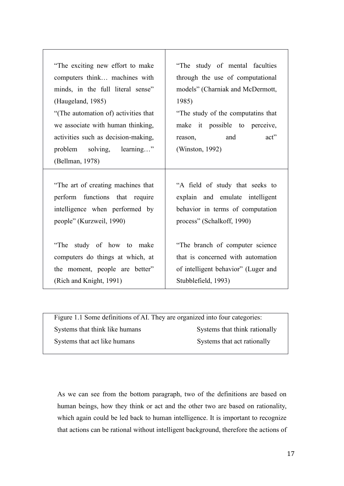| "The exciting new effort to make<br>computers think machines with<br>minds, in the full literal sense"                             | "The study of mental faculties<br>through the use of computational<br>models" (Charniak and McDermott,                               |  |
|------------------------------------------------------------------------------------------------------------------------------------|--------------------------------------------------------------------------------------------------------------------------------------|--|
| (Haugeland, 1985)                                                                                                                  | 1985)                                                                                                                                |  |
| "(The automation of) activities that<br>we associate with human thinking,<br>activities such as decision-making,                   | "The study of the computatins that<br>make it possible to perceive,<br>and<br>$\text{act}$ "<br>reason,                              |  |
| problem solving, learning"<br>(Bellman, 1978)                                                                                      | (Winston, 1992)                                                                                                                      |  |
| "The art of creating machines that<br>perform functions that require<br>intelligence when performed by<br>people" (Kurzweil, 1990) | "A field of study that seeks to<br>explain and emulate intelligent<br>behavior in terms of computation<br>process" (Schalkoff, 1990) |  |
| "The study of how to make<br>computers do things at which, at<br>the moment, people are better"<br>(Rich and Knight, 1991)         | "The branch of computer science<br>that is concerned with automation<br>of intelligent behavior" (Luger and<br>Stubblefield, 1993)   |  |

Figure 1.1 Some definitions of AI. They are organized into four categories: Systems that think like humans Systems that think rationally Systems that act like humans Systems that act rationally

As we can see from the bottom paragraph, two of the definitions are based on human beings, how they think or act and the other two are based on rationality, which again could be led back to human intelligence. It is important to recognize that actions can be rational without intelligent background, therefore the actions of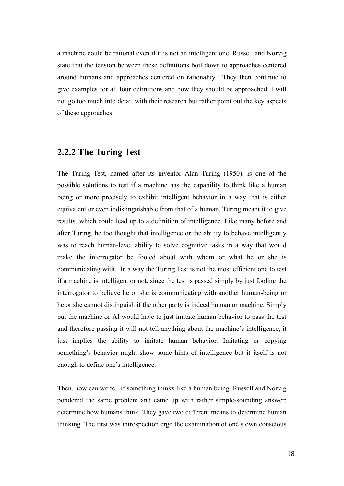a machine could be rational even if it is not an intelligent one. Russell and Norvig state that the tension between these definitions boil down to approaches centered around humans and approaches centered on rationality. They then continue to give examples for all four definitions and how they should be approached. I will not go too much into detail with their research but rather point out the key aspects of these approaches.

### <span id="page-29-0"></span>**2.2.2 The Turing Test**

The Turing Test, named after its inventor Alan Turing (1950), is one of the possible solutions to test if a machine has the capability to think like a human being or more precisely to exhibit intelligent behavior in a way that is either equivalent or even indistinguishable from that of a human. Turing meant it to give results, which could lead up to a definition of intelligence. Like many before and after Turing, he too thought that intelligence or the ability to behave intelligently was to reach human-level ability to solve cognitive tasks in a way that would make the interrogator be fooled about with whom or what he or she is communicating with. In a way the Turing Test is not the most efficient one to test if a machine is intelligent or not, since the test is passed simply by just fooling the interrogator to believe he or she is communicating with another human-being or he or she cannot distinguish if the other party is indeed human or machine. Simply put the machine or AI would have to just imitate human behavior to pass the test and therefore passing it will not tell anything about the machine's intelligence, it just implies the ability to imitate human behavior. Imitating or copying something's behavior might show some hints of intelligence but it itself is not enough to define one's intelligence.

Then, how can we tell if something thinks like a human being. Russell and Norvig pondered the same problem and came up with rather simple-sounding answer; determine how humans think. They gave two different means to determine human thinking. The first was introspection ergo the examination of one's own conscious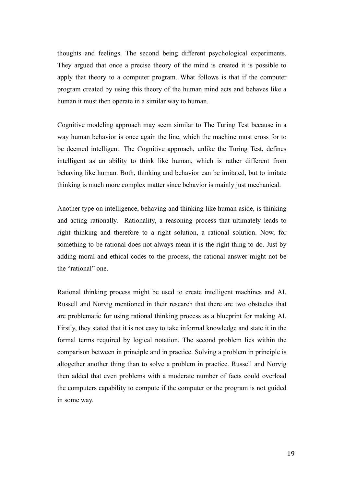thoughts and feelings. The second being different psychological experiments. They argued that once a precise theory of the mind is created it is possible to apply that theory to a computer program. What follows is that if the computer program created by using this theory of the human mind acts and behaves like a human it must then operate in a similar way to human.

Cognitive modeling approach may seem similar to The Turing Test because in a way human behavior is once again the line, which the machine must cross for to be deemed intelligent. The Cognitive approach, unlike the Turing Test, defines intelligent as an ability to think like human, which is rather different from behaving like human. Both, thinking and behavior can be imitated, but to imitate thinking is much more complex matter since behavior is mainly just mechanical.

Another type on intelligence, behaving and thinking like human aside, is thinking and acting rationally. Rationality, a reasoning process that ultimately leads to right thinking and therefore to a right solution, a rational solution. Now, for something to be rational does not always mean it is the right thing to do. Just by adding moral and ethical codes to the process, the rational answer might not be the "rational" one.

Rational thinking process might be used to create intelligent machines and AI. Russell and Norvig mentioned in their research that there are two obstacles that are problematic for using rational thinking process as a blueprint for making AI. Firstly, they stated that it is not easy to take informal knowledge and state it in the formal terms required by logical notation. The second problem lies within the comparison between in principle and in practice. Solving a problem in principle is altogether another thing than to solve a problem in practice. Russell and Norvig then added that even problems with a moderate number of facts could overload the computers capability to compute if the computer or the program is not guided in some way.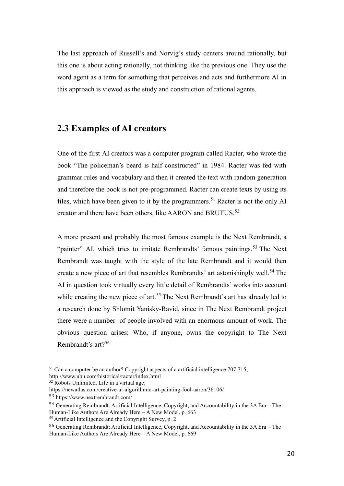The last approach of Russell's and Norvig's study centers around rationally, but this one is about acting rationally, not thinking like the previous one. They use the word agent as a term for something that perceives and acts and furthermore AI in this approach is viewed as the study and construction of rational agents.

#### <span id="page-31-0"></span>**2.3 Examples of AI creators**

One of the first AI creators was a computer program called Racter, who wrote the book "The policeman's beard is half constructed" in 1984. Racter was fed with grammar rules and vocabulary and then it created the text with random generation and therefore the book is not pre-programmed. Racter can create texts by using its files, which have been given to it by the programmers.<sup>51</sup> Racter is not the only AI creator and there have been others, like AARON and BRUTUS.<sup>52</sup>

A more present and probably the most famous example is the Next Rembrandt, a "painter" AI, which tries to imitate Rembrandts' famous paintings.<sup>53</sup> The Next Rembrandt was taught with the style of the late Rembrandt and it would then create a new piece of art that resembles Rembrandts' art astonishingly well.<sup>54</sup> The AI in question took virtually every little detail of Rembrandts' works into account while creating the new piece of art.<sup>55</sup> The Next Rembrandt's art has already led to a research done by Shlomit Yanisky-Ravid, since in The Next Rembrandt project there were a number of people involved with an enormous amount of work. The obvious question arises: Who, if anyone, owns the copyright to The Next Rembrandt's art?<sup>56</sup>

 $51$  Can a computer be an author? Copyright aspects of a artificial intelligence 707:715;

http://www.ubu.com/historical/racter/index.html  $52$  Robots Unlimited. Life in a virtual age;

https://newatlas.com/creative-ai-algorithmic-art-painting-fool-aaron/36106/

<sup>53</sup> https://www.nextrembrandt.com/

<sup>54</sup> Generating Rembrandt: Artificial Intelligence, Copyright, and Accountability in the 3A Era – The Human-Like Authors Are Already Here – A New Model, p. 663

<sup>55</sup> Artificial Intelligence and the Copyright Survey, p. 2

<sup>56</sup> Generating Rembrandt: Artificial Intelligence, Copyright, and Accountability in the 3A Era – The Human-Like Authors Are Already Here – A New Model, p. 669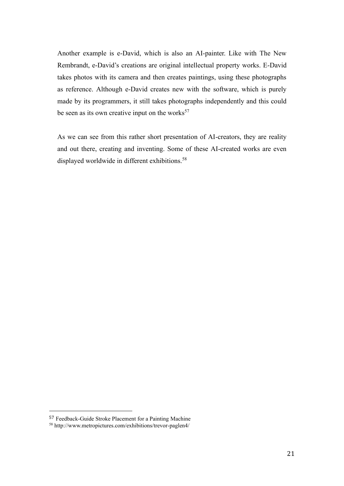Another example is e-David, which is also an AI-painter. Like with The New Rembrandt, e-David's creations are original intellectual property works. E-David takes photos with its camera and then creates paintings, using these photographs as reference. Although e-David creates new with the software, which is purely made by its programmers, it still takes photographs independently and this could be seen as its own creative input on the works $57$ 

As we can see from this rather short presentation of AI-creators, they are reality and out there, creating and inventing. Some of these AI-created works are even displayed worldwide in different exhibitions.<sup>58</sup>

<sup>57</sup> Feedback-Guide Stroke Placement for a Painting Machine

<sup>58</sup> http://www.metropictures.com/exhibitions/trevor-paglen4/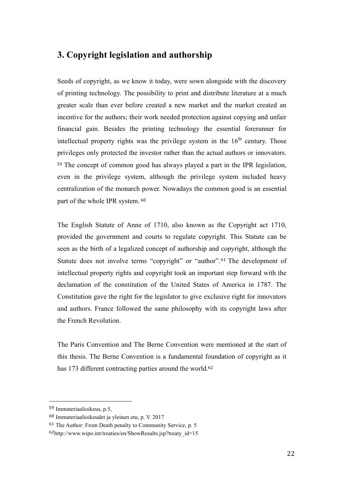# <span id="page-33-0"></span>**3. Copyright legislation and authorship**

Seeds of copyright, as we know it today, were sown alongside with the discovery of printing technology. The possibility to print and distribute literature at a much greater scale than ever before created a new market and the market created an incentive for the authors; their work needed protection against copying and unfair financial gain. Besides the printing technology the essential forerunner for intellectual property rights was the privilege system in the  $16<sup>th</sup>$  century. Those privileges only protected the investor rather than the actual authors or innovators. <sup>59</sup> The concept of common good has always played a part in the IPR legislation, even in the privilege system, although the privilege system included heavy centralization of the monarch power. Nowadays the common good is an essential part of the whole IPR system. <sup>60</sup>

The English Statute of Anne of 1710, also known as the Copyright act 1710, provided the government and courts to regulate copyright. This Statute can be seen as the birth of a legalized concept of authorship and copyright, although the Statute does not involve terms "copyright" or "author".<sup>61</sup> The development of intellectual property rights and copyright took an important step forward with the declamation of the constitution of the United States of America in 1787. The Constitution gave the right for the legislator to give exclusive right for innovators and authors. France followed the same philosophy with its copyright laws after the French Revolution.

The Paris Convention and The Berne Convention were mentioned at the start of this thesis. The Berne Convention is a fundamental foundation of copyright as it has 173 different contracting parties around the world.<sup>62</sup>

<sup>59</sup> Immateriaalioikeus, p.5,

<sup>60</sup> Immateriaalioikeudet ja yleinen etu, p. V. 2017

<sup>61</sup> The Author: From Death penalty to Community Service, p. 5

 $62$ http://www.wipo.int/treaties/en/ShowResults.jsp?treaty\_id=15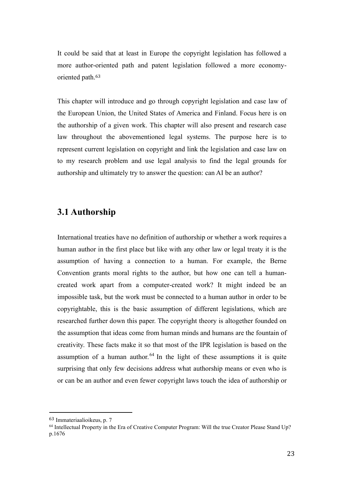It could be said that at least in Europe the copyright legislation has followed a more author-oriented path and patent legislation followed a more economyoriented path.<sup>63</sup>

This chapter will introduce and go through copyright legislation and case law of the European Union, the United States of America and Finland. Focus here is on the authorship of a given work. This chapter will also present and research case law throughout the abovementioned legal systems. The purpose here is to represent current legislation on copyright and link the legislation and case law on to my research problem and use legal analysis to find the legal grounds for authorship and ultimately try to answer the question: can AI be an author?

# <span id="page-34-0"></span>**3.1 Authorship**

International treaties have no definition of authorship or whether a work requires a human author in the first place but like with any other law or legal treaty it is the assumption of having a connection to a human. For example, the Berne Convention grants moral rights to the author, but how one can tell a humancreated work apart from a computer-created work? It might indeed be an impossible task, but the work must be connected to a human author in order to be copyrightable, this is the basic assumption of different legislations, which are researched further down this paper. The copyright theory is altogether founded on the assumption that ideas come from human minds and humans are the fountain of creativity. These facts make it so that most of the IPR legislation is based on the assumption of a human author.  $64$  In the light of these assumptions it is quite surprising that only few decisions address what authorship means or even who is or can be an author and even fewer copyright laws touch the idea of authorship or

<sup>63</sup> Immateriaalioikeus, p. 7

<sup>64</sup> Intellectual Property in the Era of Creative Computer Program: Will the true Creator Please Stand Up? p.1676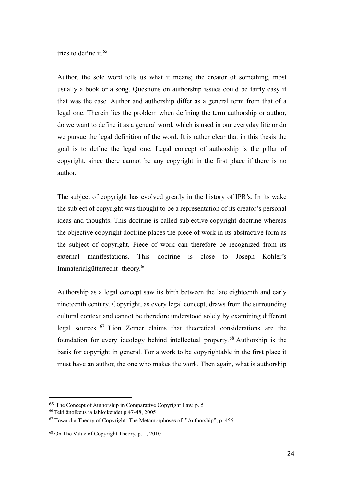tries to define it.<sup>65</sup>

Author, the sole word tells us what it means; the creator of something, most usually a book or a song. Questions on authorship issues could be fairly easy if that was the case. Author and authorship differ as a general term from that of a legal one. Therein lies the problem when defining the term authorship or author, do we want to define it as a general word, which is used in our everyday life or do we pursue the legal definition of the word. It is rather clear that in this thesis the goal is to define the legal one. Legal concept of authorship is the pillar of copyright, since there cannot be any copyright in the first place if there is no author.

The subject of copyright has evolved greatly in the history of IPR's. In its wake the subject of copyright was thought to be a representation of its creator's personal ideas and thoughts. This doctrine is called subjective copyright doctrine whereas the objective copyright doctrine places the piece of work in its abstractive form as the subject of copyright. Piece of work can therefore be recognized from its external manifestations. This doctrine is close to Joseph Kohler's Immaterialgütterrecht -theory.<sup>66</sup>

Authorship as a legal concept saw its birth between the late eighteenth and early nineteenth century. Copyright, as every legal concept, draws from the surrounding cultural context and cannot be therefore understood solely by examining different legal sources. <sup>67</sup> Lion Zemer claims that theoretical considerations are the foundation for every ideology behind intellectual property. <sup>68</sup> Authorship is the basis for copyright in general. For a work to be copyrightable in the first place it must have an author, the one who makes the work. Then again, what is authorship

<sup>65</sup> The Concept of Authorship in Comparative Copyright Law, p. 5

<sup>66</sup> Tekijänoikeus ja lähioikeudet p.47-48, 2005

 $67$  Toward a Theory of Copyright: The Metamorphoses of "Authorship", p. 456

<sup>68</sup> On The Value of Copyright Theory, p. 1, 2010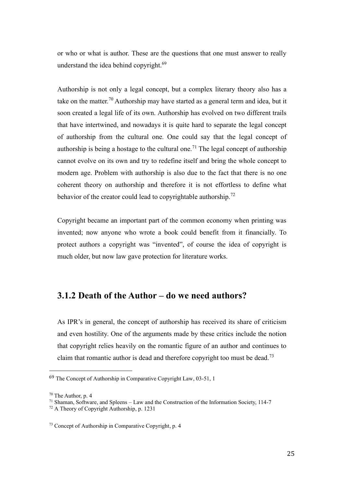or who or what is author. These are the questions that one must answer to really understand the idea behind copyright.<sup>69</sup>

Authorship is not only a legal concept, but a complex literary theory also has a take on the matter.<sup>70</sup> Authorship may have started as a general term and idea, but it soon created a legal life of its own. Authorship has evolved on two different trails that have intertwined, and nowadays it is quite hard to separate the legal concept of authorship from the cultural one. One could say that the legal concept of authorship is being a hostage to the cultural one.<sup>71</sup> The legal concept of authorship cannot evolve on its own and try to redefine itself and bring the whole concept to modern age. Problem with authorship is also due to the fact that there is no one coherent theory on authorship and therefore it is not effortless to define what behavior of the creator could lead to copyrightable authorship.<sup>72</sup>

Copyright became an important part of the common economy when printing was invented; now anyone who wrote a book could benefit from it financially. To protect authors a copyright was "invented", of course the idea of copyright is much older, but now law gave protection for literature works.

# <span id="page-36-0"></span>**3.1.2 Death of the Author – do we need authors?**

As IPR's in general, the concept of authorship has received its share of criticism and even hostility. One of the arguments made by these critics include the notion that copyright relies heavily on the romantic figure of an author and continues to claim that romantic author is dead and therefore copyright too must be dead.<sup>73</sup>

<sup>69</sup> The Concept of Authorship in Comparative Copyright Law, 03-51, 1

<sup>70</sup> The Author, p. 4

<sup>71</sup> Shaman, Software, and Spleens – Law and the Construction of the Information Society, 114-7

<sup>72</sup> A Theory of Copyright Authorship, p. 1231

<sup>73</sup> Concept of Authorship in Comparative Copyright, p. 4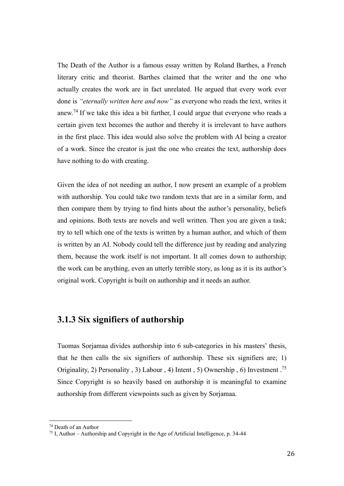The Death of the Author is a famous essay written by Roland Barthes, a French literary critic and theorist. Barthes claimed that the writer and the one who actually creates the work are in fact unrelated. He argued that every work ever done is *"eternally written here and now"* as everyone who reads the text, writes it anew.<sup>74</sup> If we take this idea a bit further, I could argue that everyone who reads a certain given text becomes the author and thereby it is irrelevant to have authors in the first place. This idea would also solve the problem with AI being a creator of a work. Since the creator is just the one who creates the text, authorship does have nothing to do with creating.

Given the idea of not needing an author, I now present an example of a problem with authorship. You could take two random texts that are in a similar form, and then compare them by trying to find hints about the author's personality, beliefs and opinions. Both texts are novels and well written. Then you are given a task; try to tell which one of the texts is written by a human author, and which of them is written by an AI. Nobody could tell the difference just by reading and analyzing them, because the work itself is not important. It all comes down to authorship; the work can be anything, even an utterly terrible story, as long as it is its author's original work. Copyright is built on authorship and it needs an author.

### <span id="page-37-0"></span>**3.1.3 Six signifiers of authorship**

Tuomas Sorjamaa divides authorship into 6 sub-categories in his masters' thesis, that he then calls the six signifiers of authorship. These six signifiers are; 1) Originality, 2) Personality , 3) Labour , 4) Intent , 5) Ownership , 6) Investment .<sup>75</sup> Since Copyright is so heavily based on authorship it is meaningful to examine authorship from different viewpoints such as given by Sorjamaa.

<sup>74</sup> Death of an Author

<sup>&</sup>lt;sup>75</sup> I, Author – Authorship and Copyright in the Age of Artificial Intelligence, p. 34-44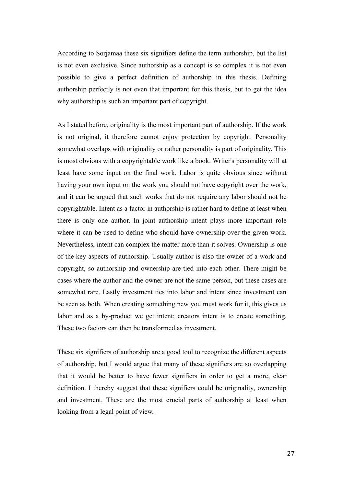According to Sorjamaa these six signifiers define the term authorship, but the list is not even exclusive. Since authorship as a concept is so complex it is not even possible to give a perfect definition of authorship in this thesis. Defining authorship perfectly is not even that important for this thesis, but to get the idea why authorship is such an important part of copyright.

As I stated before, originality is the most important part of authorship. If the work is not original, it therefore cannot enjoy protection by copyright. Personality somewhat overlaps with originality or rather personality is part of originality. This is most obvious with a copyrightable work like a book. Writer's personality will at least have some input on the final work. Labor is quite obvious since without having your own input on the work you should not have copyright over the work, and it can be argued that such works that do not require any labor should not be copyrightable. Intent as a factor in authorship is rather hard to define at least when there is only one author. In joint authorship intent plays more important role where it can be used to define who should have ownership over the given work. Nevertheless, intent can complex the matter more than it solves. Ownership is one of the key aspects of authorship. Usually author is also the owner of a work and copyright, so authorship and ownership are tied into each other. There might be cases where the author and the owner are not the same person, but these cases are somewhat rare. Lastly investment ties into labor and intent since investment can be seen as both. When creating something new you must work for it, this gives us labor and as a by-product we get intent; creators intent is to create something. These two factors can then be transformed as investment.

These six signifiers of authorship are a good tool to recognize the different aspects of authorship, but I would argue that many of these signifiers are so overlapping that it would be better to have fewer signifiers in order to get a more, clear definition. I thereby suggest that these signifiers could be originality, ownership and investment. These are the most crucial parts of authorship at least when looking from a legal point of view.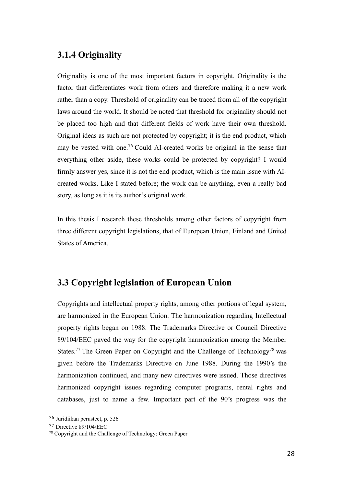# <span id="page-39-0"></span>**3.1.4 Originality**

Originality is one of the most important factors in copyright. Originality is the factor that differentiates work from others and therefore making it a new work rather than a copy. Threshold of originality can be traced from all of the copyright laws around the world. It should be noted that threshold for originality should not be placed too high and that different fields of work have their own threshold. Original ideas as such are not protected by copyright; it is the end product, which may be vested with one.<sup>76</sup> Could AI-created works be original in the sense that everything other aside, these works could be protected by copyright? I would firmly answer yes, since it is not the end-product, which is the main issue with AIcreated works. Like I stated before; the work can be anything, even a really bad story, as long as it is its author's original work.

In this thesis I research these thresholds among other factors of copyright from three different copyright legislations, that of European Union, Finland and United States of America.

# <span id="page-39-1"></span>**3.3 Copyright legislation of European Union**

Copyrights and intellectual property rights, among other portions of legal system, are harmonized in the European Union. The harmonization regarding Intellectual property rights began on 1988. The Trademarks Directive or Council Directive 89/104/EEC paved the way for the copyright harmonization among the Member States.<sup>77</sup> The Green Paper on Copyright and the Challenge of Technology<sup>78</sup> was given before the Trademarks Directive on June 1988. During the 1990's the harmonization continued, and many new directives were issued. Those directives harmonized copyright issues regarding computer programs, rental rights and databases, just to name a few. Important part of the 90's progress was the

<sup>76</sup> Juridiikan perusteet, p. 526

<sup>77</sup> Directive 89/104/EEC

<sup>78</sup> Copyright and the Challenge of Technology: Green Paper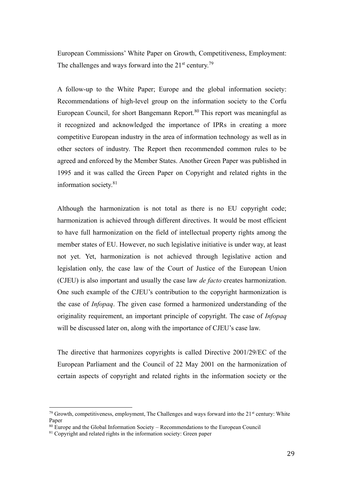European Commissions' White Paper on Growth, Competitiveness, Employment: The challenges and ways forward into the  $21<sup>st</sup>$  century.<sup>79</sup>

A follow-up to the White Paper; Europe and the global information society: Recommendations of high-level group on the information society to the Corfu European Council, for short Bangemann Report.<sup>80</sup> This report was meaningful as it recognized and acknowledged the importance of IPRs in creating a more competitive European industry in the area of information technology as well as in other sectors of industry. The Report then recommended common rules to be agreed and enforced by the Member States. Another Green Paper was published in 1995 and it was called the Green Paper on Copyright and related rights in the information society.<sup>81</sup>

Although the harmonization is not total as there is no EU copyright code; harmonization is achieved through different directives. It would be most efficient to have full harmonization on the field of intellectual property rights among the member states of EU. However, no such legislative initiative is under way, at least not yet. Yet, harmonization is not achieved through legislative action and legislation only, the case law of the Court of Justice of the European Union (CJEU) is also important and usually the case law *de facto* creates harmonization. One such example of the CJEU's contribution to the copyright harmonization is the case of *Infopaq*. The given case formed a harmonized understanding of the originality requirement, an important principle of copyright. The case of *Infopaq* will be discussed later on, along with the importance of CJEU's case law.

The directive that harmonizes copyrights is called Directive 2001/29/EC of the European Parliament and the Council of 22 May 2001 on the harmonization of certain aspects of copyright and related rights in the information society or the

<sup>&</sup>lt;sup>79</sup> Growth, competitiveness, employment, The Challenges and ways forward into the 21<sup>st</sup> century: White Paper

 $80$  Europe and the Global Information Society – Recommendations to the European Council

 $81$  Copyright and related rights in the information society: Green paper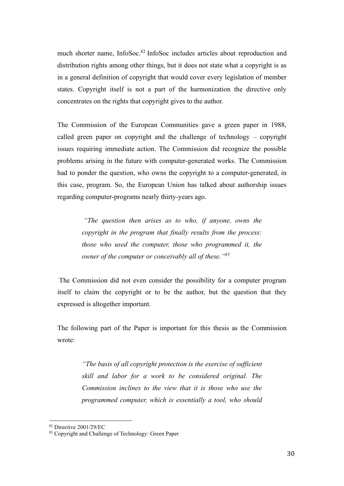much shorter name, InfoSoc.<sup>82</sup> InfoSoc includes articles about reproduction and distribution rights among other things, but it does not state what a copyright is as in a general definition of copyright that would cover every legislation of member states. Copyright itself is not a part of the harmonization the directive only concentrates on the rights that copyright gives to the author.

The Commission of the European Communities gave a green paper in 1988, called green paper on copyright and the challenge of technology – copyright issues requiring immediate action. The Commission did recognize the possible problems arising in the future with computer-generated works. The Commission had to ponder the question, who owns the copyright to a computer-generated, in this case, program. So, the European Union has talked about authorship issues regarding computer-programs nearly thirty-years ago.

> *"The question then arises as to who, if anyone, owns the copyright in the program that finally results from the process: those who used the computer, those who programmed it, the owner of the computer or conceivably all of these."<sup>83</sup>*

The Commission did not even consider the possibility for a computer program itself to claim the copyright or to be the author, but the question that they expressed is altogether important.

The following part of the Paper is important for this thesis as the Commission wrote:

> *"The basis of all copyright protection is the exercise of sufficient skill and labor for a work to be considered original. The Commission inclines to the view that it is those who use the programmed computer, which is essentially a tool, who should*

<sup>82</sup> Directive 2001/29/EC

<sup>83</sup> Copyright and Challenge of Technology: Green Paper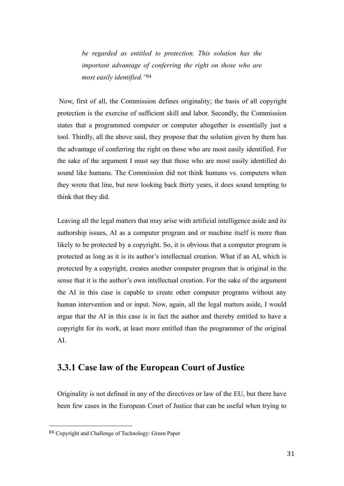*be regarded as entitled to protection. This solution has the important advantage of conferring the right on those who are most easily identified."*<sup>84</sup>

Now, first of all, the Commission defines originality; the basis of all copyright protection is the exercise of sufficient skill and labor. Secondly, the Commission states that a programmed computer or computer altogether is essentially just a tool. Thirdly, all the above said, they propose that the solution given by them has the advantage of conferring the right on those who are most easily identified. For the sake of the argument I must say that those who are most easily identified do sound like humans. The Commission did not think humans vs. computers when they wrote that line, but now looking back thirty years, it does sound tempting to think that they did.

Leaving all the legal matters that may arise with artificial intelligence aside and its authorship issues, AI as a computer program and or machine itself is more than likely to be protected by a copyright. So, it is obvious that a computer program is protected as long as it is its author's intellectual creation. What if an AI, which is protected by a copyright, creates another computer program that is original in the sense that it is the author's own intellectual creation. For the sake of the argument the AI in this case is capable to create other computer programs without any human intervention and or input. Now, again, all the legal matters aside, I would argue that the AI in this case is in fact the author and thereby entitled to have a copyright for its work, at least more entitled than the programmer of the original AI.

# <span id="page-42-0"></span>**3.3.1 Case law of the European Court of Justice**

Originality is not defined in any of the directives or law of the EU, but there have been few cases in the European Court of Justice that can be useful when trying to

<sup>84</sup> Copyright and Challenge of Technology: Green Paper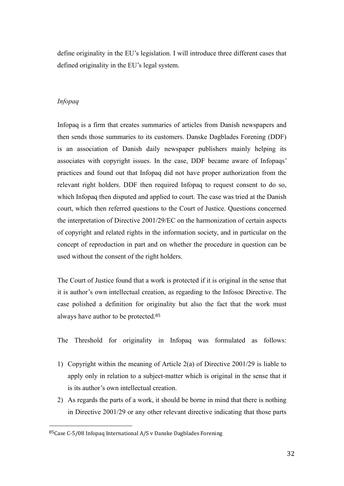define originality in the EU's legislation. I will introduce three different cases that defined originality in the EU's legal system.

#### *Infopaq*

Infopaq is a firm that creates summaries of articles from Danish newspapers and then sends those summaries to its customers. Danske Dagblades Forening (DDF) is an association of Danish daily newspaper publishers mainly helping its associates with copyright issues. In the case, DDF became aware of Infopaqs' practices and found out that Infopaq did not have proper authorization from the relevant right holders. DDF then required Infopaq to request consent to do so, which Infopaq then disputed and applied to court. The case was tried at the Danish court, which then referred questions to the Court of Justice. Questions concerned the interpretation of Directive 2001/29/EC on the harmonization of certain aspects of copyright and related rights in the information society, and in particular on the concept of reproduction in part and on whether the procedure in question can be used without the consent of the right holders.

The Court of Justice found that a work is protected if it is original in the sense that it is author's own intellectual creation, as regarding to the Infosoc Directive. The case polished a definition for originality but also the fact that the work must always have author to be protected.<sup>85</sup>

The Threshold for originality in Infopaq was formulated as follows:

- 1) Copyright within the meaning of Article 2(a) of Directive 2001/29 is liable to apply only in relation to a subject-matter which is original in the sense that it is its author's own intellectual creation.
- 2) As regards the parts of a work, it should be borne in mind that there is nothing in Directive 2001/29 or any other relevant directive indicating that those parts

<sup>85</sup>Case C-5/08 Infopaq International A/S v Danske Dagblades Forening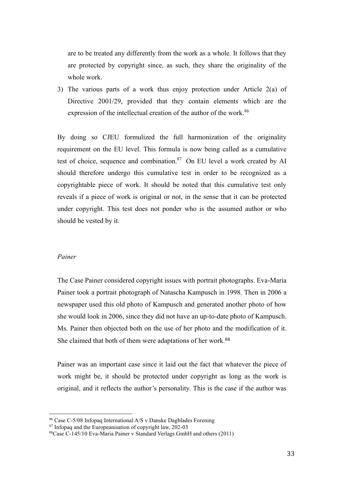are to be treated any differently from the work as a whole. It follows that they are protected by copyright since, as such, they share the originality of the whole work.

3) The various parts of a work thus enjoy protection under Article 2(a) of Directive 2001/29, provided that they contain elements which are the expression of the intellectual creation of the author of the work.<sup>86</sup>

By doing so CJEU formulized the full harmonization of the originality requirement on the EU level. This formula is now being called as a cumulative test of choice, sequence and combination. $87$  On EU level a work created by AI should therefore undergo this cumulative test in order to be recognized as a copyrightable piece of work. It should be noted that this cumulative test only reveals if a piece of work is original or not, in the sense that it can be protected under copyright. This test does not ponder who is the assumed author or who should be vested by it.

#### *Painer*

The Case Painer considered copyright issues with portrait photographs. Eva-Maria Painer took a portrait photograph of Natascha Kampusch in 1998. Then in 2006 a newspaper used this old photo of Kampusch and generated another photo of how she would look in 2006, since they did not have an up-to-date photo of Kampusch. Ms. Painer then objected both on the use of her photo and the modification of it. She claimed that both of them were adaptations of her work.<sup>88</sup>

Painer was an important case since it laid out the fact that whatever the piece of work might be, it should be protected under copyright as long as the work is original, and it reflects the author's personality. This is the case if the author was

<sup>86</sup> Case C-5/08 Infopaq International A/S v Danske Dagblades Forening

 $87$  Infopaq and the Europeanisation of copyright law, 202-03

<sup>88</sup>Case C-145/10 Eva-Maria Painer v Standard Verlags GmbH and others (2011)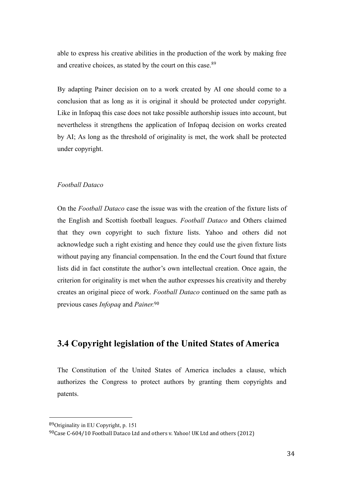able to express his creative abilities in the production of the work by making free and creative choices, as stated by the court on this case.<sup>89</sup>

By adapting Painer decision on to a work created by AI one should come to a conclusion that as long as it is original it should be protected under copyright. Like in Infopaq this case does not take possible authorship issues into account, but nevertheless it strengthens the application of Infopaq decision on works created by AI; As long as the threshold of originality is met, the work shall be protected under copyright.

#### *Football Dataco*

On the *Football Dataco* case the issue was with the creation of the fixture lists of the English and Scottish football leagues. *Football Dataco* and Others claimed that they own copyright to such fixture lists. Yahoo and others did not acknowledge such a right existing and hence they could use the given fixture lists without paying any financial compensation. In the end the Court found that fixture lists did in fact constitute the author's own intellectual creation. Once again, the criterion for originality is met when the author expresses his creativity and thereby creates an original piece of work. *Football Dataco* continued on the same path as previous cases *Infopaq* and *Painer.* 90

# <span id="page-45-0"></span>**3.4 Copyright legislation of the United States of America**

The Constitution of the United States of America includes a clause, which authorizes the Congress to protect authors by granting them copyrights and patents.

<sup>89</sup>Originality in EU Copyright, p. 151

 $90$ Case C-604/10 Football Dataco Ltd and others v. Yahoo! UK Ltd and others (2012)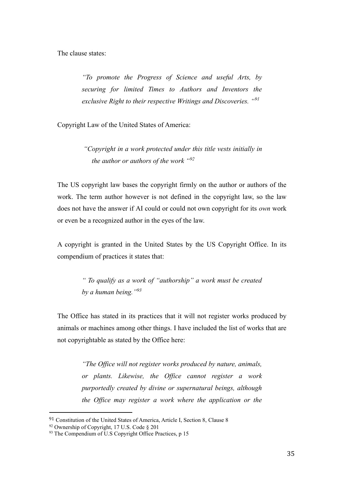The clause states:

*"To promote the Progress of Science and useful Arts, by securing for limited Times to Authors and Inventors the exclusive Right to their respective Writings and Discoveries. "<sup>91</sup>*

Copyright Law of the United States of America:

*"Copyright in a work protected under this title vests initially in the author or authors of the work "<sup>92</sup>*

The US copyright law bases the copyright firmly on the author or authors of the work. The term author however is not defined in the copyright law, so the law does not have the answer if AI could or could not own copyright for its *own* work or even be a recognized author in the eyes of the law.

A copyright is granted in the United States by the US Copyright Office. In its compendium of practices it states that:

> *" To qualify as a work of "authorship" a work must be created by a human being."<sup>93</sup>*

The Office has stated in its practices that it will not register works produced by animals or machines among other things. I have included the list of works that are not copyrightable as stated by the Office here:

> *"The Office will not register works produced by nature, animals, or plants. Likewise, the Office cannot register a work purportedly created by divine or supernatural beings, although the Office may register a work where the application or the*

<sup>91</sup> Constitution of the United States of America, Article I, Section 8, Clause 8

<sup>92</sup> Ownership of Copyright, 17 U.S. Code § 201

 $93$  The Compendium of U.S Copyright Office Practices, p 15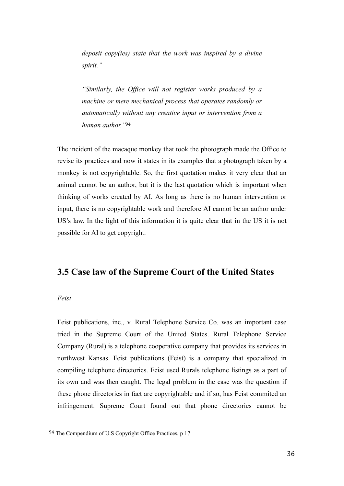*deposit copy(ies) state that the work was inspired by a divine spirit."*

*"Similarly, the Office will not register works produced by a machine or mere mechanical process that operates randomly or automatically without any creative input or intervention from a human author."*<sup>94</sup>

The incident of the macaque monkey that took the photograph made the Office to revise its practices and now it states in its examples that a photograph taken by a monkey is not copyrightable. So, the first quotation makes it very clear that an animal cannot be an author, but it is the last quotation which is important when thinking of works created by AI. As long as there is no human intervention or input, there is no copyrightable work and therefore AI cannot be an author under US's law. In the light of this information it is quite clear that in the US it is not possible for AI to get copyright.

### <span id="page-47-0"></span>**3.5 Case law of the Supreme Court of the United States**

#### *Feist*

Feist publications, inc., v. Rural Telephone Service Co. was an important case tried in the Supreme Court of the United States. Rural Telephone Service Company (Rural) is a telephone cooperative company that provides its services in northwest Kansas. Feist publications (Feist) is a company that specialized in compiling telephone directories. Feist used Rurals telephone listings as a part of its own and was then caught. The legal problem in the case was the question if these phone directories in fact are copyrightable and if so, has Feist commited an infringement. Supreme Court found out that phone directories cannot be

<sup>94</sup> The Compendium of U.S Copyright Office Practices, p 17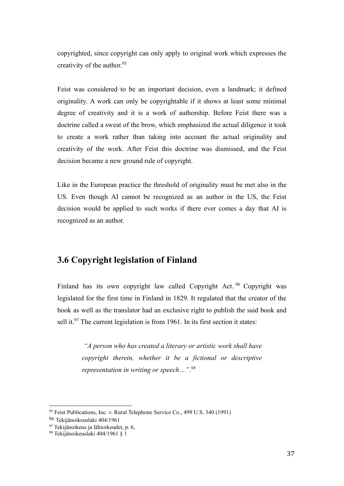copyrighted, since copyright can only apply to original work which expresses the creativity of the author.<sup>95</sup>

Feist was considered to be an important decision, even a landmark; it defined originality. A work can only be copyrightable if it shows at least some minimal degree of creativity and it is a work of authorship. Before Feist there was a doctrine called a sweat of the brow, which emphasized the actual diligence it took to create a work rather than taking into account the actual originality and creativity of the work. After Feist this doctrine was dismissed, and the Feist decision became a new ground rule of copyright.

Like in the European practice the threshold of originality must be met also in the US. Even though AI cannot be recognized as an author in the US, the Feist decision would be applied to such works if there ever comes a day that AI is recognized as an author.

# <span id="page-48-0"></span>**3.6 Copyright legislation of Finland**

Finland has its own copyright law called Copyright Act.<sup>96</sup> Copyright was legislated for the first time in Finland in 1829. It regulated that the creator of the book as well as the translator had an exclusive right to publish the said book and sell it. $97$  The current legislation is from 1961. In its first section it states:

> *"A person who has created a literary or artistic work shall have copyright therein, whether it be a fictional or descriptive representation in writing or speech…". 98*

<sup>&</sup>lt;sup>95</sup> Feist Publications, Inc. v. Rural Telephone Service Co., 499 U.S. 340 (1991)

<sup>96</sup> Tekijänoikeuslaki 404/1961

<sup>&</sup>lt;sup>97</sup> Tekijänoikeus ja lähioikeudet, p. 6,

<sup>98</sup> Tekijänoikeuslaki 404/1961 § 1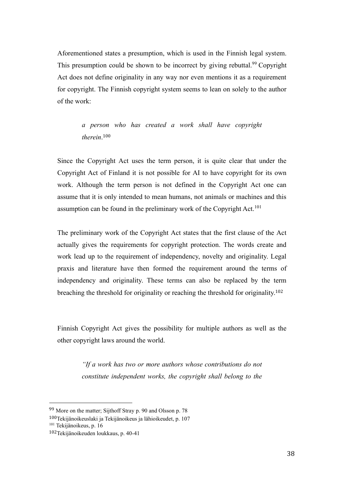Aforementioned states a presumption, which is used in the Finnish legal system. This presumption could be shown to be incorrect by giving rebuttal.<sup>99</sup> Copyright Act does not define originality in any way nor even mentions it as a requirement for copyright. The Finnish copyright system seems to lean on solely to the author of the work:

> *a person who has created a work shall have copyright therein*. 100

Since the Copyright Act uses the term person, it is quite clear that under the Copyright Act of Finland it is not possible for AI to have copyright for its own work. Although the term person is not defined in the Copyright Act one can assume that it is only intended to mean humans, not animals or machines and this assumption can be found in the preliminary work of the Copyright Act.<sup>101</sup>

The preliminary work of the Copyright Act states that the first clause of the Act actually gives the requirements for copyright protection. The words create and work lead up to the requirement of independency, novelty and originality. Legal praxis and literature have then formed the requirement around the terms of independency and originality. These terms can also be replaced by the term breaching the threshold for originality or reaching the threshold for originality.<sup>102</sup>

Finnish Copyright Act gives the possibility for multiple authors as well as the other copyright laws around the world.

> *"If a work has two or more authors whose contributions do not constitute independent works, the copyright shall belong to the*

<sup>99</sup> More on the matter; Sijthoff Stray p. 90 and Olsson p. 78

<sup>100</sup>Tekijänoikeuslaki ja Tekijänoikeus ja lähioikeudet, p. 107

<sup>&</sup>lt;sup>101</sup> Tekijänoikeus, p. 16

<sup>102</sup>Tekijänoikeuden loukkaus, p. 40-41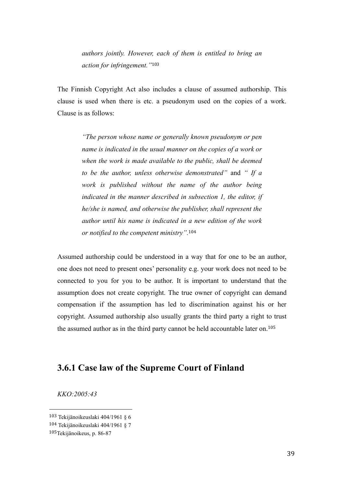*authors jointly. However, each of them is entitled to bring an action for infringement."*<sup>103</sup>

The Finnish Copyright Act also includes a clause of assumed authorship. This clause is used when there is etc. a pseudonym used on the copies of a work. Clause is as follows:

> *"The person whose name or generally known pseudonym or pen name is indicated in the usual manner on the copies of a work or when the work is made available to the public, shall be deemed to be the author, unless otherwise demonstrated"* and *" If a work is published without the name of the author being indicated in the manner described in subsection 1, the editor, if he/she is named, and otherwise the publisher, shall represent the author until his name is indicated in a new edition of the work or notified to the competent ministry".*<sup>104</sup>

Assumed authorship could be understood in a way that for one to be an author, one does not need to present ones' personality e.g. your work does not need to be connected to you for you to be author. It is important to understand that the assumption does not create copyright. The true owner of copyright can demand compensation if the assumption has led to discrimination against his or her copyright. Assumed authorship also usually grants the third party a right to trust the assumed author as in the third party cannot be held accountable later on.<sup>105</sup>

# <span id="page-50-0"></span>**3.6.1 Case law of the Supreme Court of Finland**

*KKO:2005:43*

<sup>103</sup> Tekijänoikeuslaki 404/1961 § 6

<sup>104</sup> Tekijänoikeuslaki 404/1961 § 7

<sup>105</sup>Tekijänoikeus, p. 86-87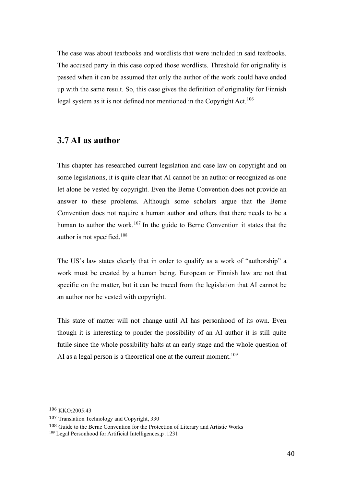The case was about textbooks and wordlists that were included in said textbooks. The accused party in this case copied those wordlists. Threshold for originality is passed when it can be assumed that only the author of the work could have ended up with the same result. So, this case gives the definition of originality for Finnish legal system as it is not defined nor mentioned in the Copyright Act.<sup>106</sup>

#### <span id="page-51-0"></span>**3.7 AI as author**

This chapter has researched current legislation and case law on copyright and on some legislations, it is quite clear that AI cannot be an author or recognized as one let alone be vested by copyright. Even the Berne Convention does not provide an answer to these problems. Although some scholars argue that the Berne Convention does not require a human author and others that there needs to be a human to author the work.<sup>107</sup> In the guide to Berne Convention it states that the author is not specified.<sup>108</sup>

The US's law states clearly that in order to qualify as a work of "authorship" a work must be created by a human being. European or Finnish law are not that specific on the matter, but it can be traced from the legislation that AI cannot be an author nor be vested with copyright.

This state of matter will not change until AI has personhood of its own. Even though it is interesting to ponder the possibility of an AI author it is still quite futile since the whole possibility halts at an early stage and the whole question of AI as a legal person is a theoretical one at the current moment.<sup>109</sup>

<sup>108</sup> Guide to the Berne Convention for the Protection of Literary and Artistic Works

<sup>106</sup> KKO:2005:43

<sup>107</sup> Translation Technology and Copyright, 330

<sup>109</sup> Legal Personhood for Artificial Intelligences,p .1231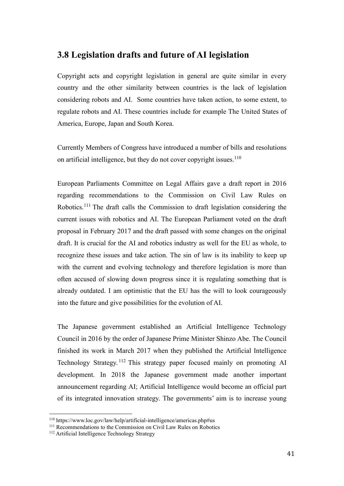### <span id="page-52-0"></span>**3.8 Legislation drafts and future of AI legislation**

Copyright acts and copyright legislation in general are quite similar in every country and the other similarity between countries is the lack of legislation considering robots and AI. Some countries have taken action, to some extent, to regulate robots and AI. These countries include for example The United States of America, Europe, Japan and South Korea.

Currently Members of Congress have introduced a number of bills and resolutions on artificial intelligence, but they do not cover copyright issues.<sup>110</sup>

European Parliaments Committee on Legal Affairs gave a draft report in 2016 regarding recommendations to the Commission on Civil Law Rules on Robotics.<sup>111</sup> The draft calls the Commission to draft legislation considering the current issues with robotics and AI. The European Parliament voted on the draft proposal in February 2017 and the draft passed with some changes on the original draft. It is crucial for the AI and robotics industry as well for the EU as whole, to recognize these issues and take action. The sin of law is its inability to keep up with the current and evolving technology and therefore legislation is more than often accused of slowing down progress since it is regulating something that is already outdated. I am optimistic that the EU has the will to look courageously into the future and give possibilities for the evolution of AI.

The Japanese government established an Artificial Intelligence Technology Council in 2016 by the order of Japanese Prime Minister Shinzo Abe. The Council finished its work in March 2017 when they published the Artificial Intelligence Technology Strategy. <sup>112</sup> This strategy paper focused mainly on promoting AI development. In 2018 the Japanese government made another important announcement regarding AI; Artificial Intelligence would become an official part of its integrated innovation strategy. The governments' aim is to increase young

<sup>110</sup> https://www.loc.gov/law/help/artificial-intelligence/americas.php#us

<sup>&</sup>lt;sup>111</sup> Recommendations to the Commission on Civil Law Rules on Robotics

<sup>&</sup>lt;sup>112</sup> Artificial Intelligence Technology Strategy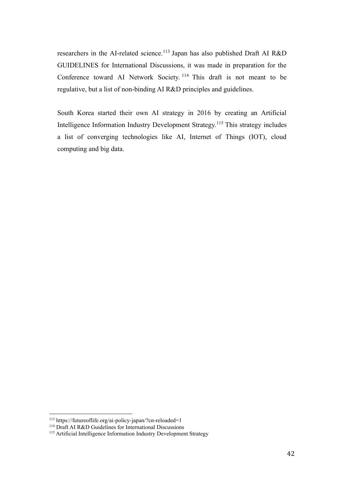researchers in the AI-related science.<sup>113</sup> Japan has also published Draft AI R&D GUIDELINES for International Discussions, it was made in preparation for the Conference toward AI Network Society. <sup>114</sup> This draft is not meant to be regulative, but a list of non-binding AI R&D principles and guidelines.

South Korea started their own AI strategy in 2016 by creating an Artificial Intelligence Information Industry Development Strategy.<sup>115</sup> This strategy includes a list of converging technologies like AI, Internet of Things (IOT), cloud computing and big data.

<sup>113</sup> https://futureoflife.org/ai-policy-japan/?cn-reloaded=1

<sup>114</sup> Draft AI R&D Guidelines for International Discussions

<sup>115</sup> Artificial Intelligence Information Industry Development Strategy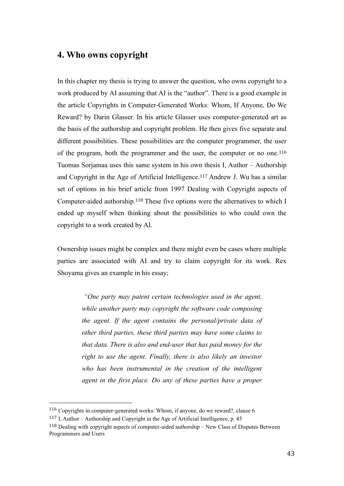# <span id="page-54-0"></span>**4. Who owns copyright**

In this chapter my thesis is trying to answer the question, who owns copyright to a work produced by AI assuming that AI is the "author". There is a good example in the article Copyrights in Computer-Generated Works: Whom, If Anyone, Do We Reward? by Darin Glasser. In his article Glasser uses computer-generated art as the basis of the authorship and copyright problem. He then gives five separate and different possibilities. These possibilities are the computer programmer, the user of the program, both the programmer and the user, the computer or no one.<sup>116</sup> Tuomas Sorjamaa uses this same system in his own thesis I, Author – Authorship and Copyright in the Age of Artificial Intelligence.<sup>117</sup> Andrew J. Wu has a similar set of options in his brief article from 1997 Dealing with Copyright aspects of Computer-aided authorship.<sup>118</sup> These five options were the alternatives to which I ended up myself when thinking about the possibilities to who could own the copyright to a work created by AI.

Ownership issues might be complex and there might even be cases where multiple parties are associated with AI and try to claim copyright for its work. Rex Shoyama gives an example in his essay;

> *"One party may patent certain technologies used in the agent, while another party may copyright the software code composing the agent. If the agent contains the personal/private data of other third parties, these third parties may have some claims to that data. There is also and end-user that has paid money for the right to use the agent. Finally, there is also likely an investor*  who has been instrumental in the creation of the intelligent *agent in the first place. Do any of these parties have a proper*

<sup>116</sup> Copyrights in computer-generated works: Whom, if anyone, do we reward?, clause 6

<sup>117</sup> I, Author – Authorship and Copyright in the Age of Artificial Intelligence, p. 45

<sup>118</sup> Dealing with copyright aspects of computer-aided authorship – New Class of Disputes Between Programmers and Users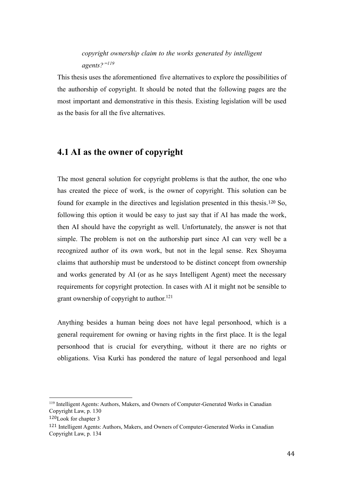# *copyright ownership claim to the works generated by intelligent agents?"<sup>119</sup>*

This thesis uses the aforementioned five alternatives to explore the possibilities of the authorship of copyright. It should be noted that the following pages are the most important and demonstrative in this thesis. Existing legislation will be used as the basis for all the five alternatives.

# <span id="page-55-0"></span>**4.1 AI as the owner of copyright**

The most general solution for copyright problems is that the author, the one who has created the piece of work, is the owner of copyright. This solution can be found for example in the directives and legislation presented in this thesis.<sup>120</sup> So, following this option it would be easy to just say that if AI has made the work, then AI should have the copyright as well. Unfortunately, the answer is not that simple. The problem is not on the authorship part since AI can very well be a recognized author of its own work, but not in the legal sense. Rex Shoyama claims that authorship must be understood to be distinct concept from ownership and works generated by AI (or as he says Intelligent Agent) meet the necessary requirements for copyright protection. In cases with AI it might not be sensible to grant ownership of copyright to author.<sup>121</sup>

Anything besides a human being does not have legal personhood, which is a general requirement for owning or having rights in the first place. It is the legal personhood that is crucial for everything, without it there are no rights or obligations. Visa Kurki has pondered the nature of legal personhood and legal

<sup>119</sup> Intelligent Agents: Authors, Makers, and Owners of Computer-Generated Works in Canadian Copyright Law, p. 130

<sup>120</sup>Look for chapter 3

<sup>121</sup> Intelligent Agents: Authors, Makers, and Owners of Computer-Generated Works in Canadian Copyright Law, p. 134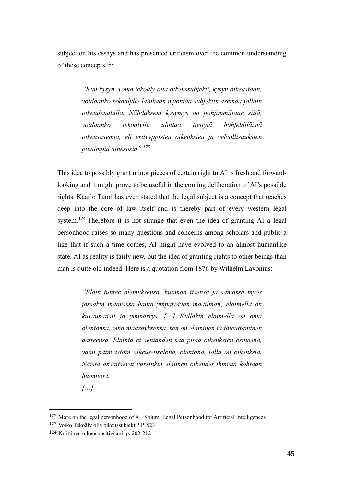subject on his essays and has presented criticism over the common understanding of these concepts.<sup>122</sup>

> *"Kun kysyn, voiko tekoäly olla oikeussubjekti, kysyn oikeastaan, voidaanko tekoälylle lainkaan myöntää subjektin asemaa jollain oikeudenalalla. Nähdäkseni kysymys on pohjimmiltaan siitä, voidaanko tekoälylle ulottaa tiettyjä hohfeldiläisiä oikeusasemia, eli erityyppisten oikeuksien ja velvollisuuksien pienimpiä ainesosia".<sup>123</sup>*

This idea to possibly grant minor pieces of certain right to AI is fresh and forwardlooking and it might prove to be useful in the coming deliberation of AI's possible rights. Kaarlo Tuori has even stated that the legal subject is a concept that reaches deep into the core of law itself and is thereby part of every western legal system.<sup>124</sup> Therefore it is not strange that even the idea of granting AI a legal personhood raises so many questions and concerns among scholars and public a like that if such a time comes, AI might have evolved to an almost humanlike state. AI as reality is fairly new, but the idea of granting rights to other beings than man is quite old indeed. Here is a quotation from 1876 by Wilhelm Lavonius:

> *"Eläin tuntee olemuksensa, huomaa itsensä ja samassa myös jossakin määrässä häntä ympäröivän maailman; eläimellä on kuvaus-aisti ja ymmärrys. […] Kullakin eläimellä on oma olentonsa, oma määräyksensä, sen on eläminen ja toteuttaminen aatteensa. Eläintä ei sentähden saa pitää oikeuksien esineenä, vaan päinvastoin oikeus-itselönä, olentona, jolla on oikeuksia. Näistä ansaitsevat varsinkin eläimen oikeudet ihmistä kohtaan huomiota.*

*[…]*

<sup>122</sup> More on the legal personhood of AI: Solum, Legal Personhood for Artificial Intelligences

<sup>123</sup> Voiko Tekoäly olla oikeussubjekti? P. 823

<sup>124</sup> Kriittinen oikeuspositivismi. p. 202-212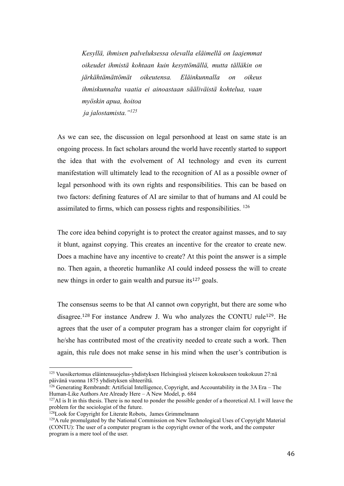*Kesyllä, ihmisen palveluksessa olevalla eläimellä on laajemmat oikeudet ihmistä kohtaan kuin kesyttömällä, mutta tälläkin on järkähtämättömät oikeutensa. Eläinkunnalla on oikeus ihmiskunnalta vaatia ei ainoastaan sääliväistä kohtelua, vaan myöskin apua, hoitoa ja jalostamista."<sup>125</sup>*

As we can see, the discussion on legal personhood at least on same state is an ongoing process. In fact scholars around the world have recently started to support the idea that with the evolvement of AI technology and even its current manifestation will ultimately lead to the recognition of AI as a possible owner of legal personhood with its own rights and responsibilities. This can be based on two factors: defining features of AI are similar to that of humans and AI could be assimilated to firms, which can possess rights and responsibilities. <sup>126</sup>

The core idea behind copyright is to protect the creator against masses, and to say it blunt, against copying. This creates an incentive for the creator to create new. Does a machine have any incentive to create? At this point the answer is a simple no. Then again, a theoretic humanlike AI could indeed possess the will to create new things in order to gain wealth and pursue its<sup>127</sup> goals.

The consensus seems to be that AI cannot own copyright, but there are some who disagree.<sup>128</sup> For instance Andrew J. Wu who analyzes the CONTU rule<sup>129</sup>. He agrees that the user of a computer program has a stronger claim for copyright if he/she has contributed most of the creativity needed to create such a work. Then again, this rule does not make sense in his mind when the user's contribution is

<sup>125</sup> Vuosikertomus eläintensuojelus-yhdistyksen Helsingissä yleiseen kokoukseen toukokuun 27:nä päivänä vuonna 1875 yhdistyksen sihteeriltä.

 $126$  Generating Rembrandt: Artificial Intelligence, Copyright, and Accountability in the 3A Era – The Human-Like Authors Are Already Here – A New Model, p. 684

 $127$ AI is It in this thesis. There is no need to ponder the possible gender of a theoretical AI. I will leave the problem for the sociologist of the future.

<sup>&</sup>lt;sup>128</sup>Look for Copyright for Literate Robots, James Grimmelmann

<sup>&</sup>lt;sup>129</sup>A rule promulgated by the National Commission on New Technological Uses of Copyright Material (CONTU): The user of a computer program is the copyright owner of the work, and the computer program is a mere tool of the user.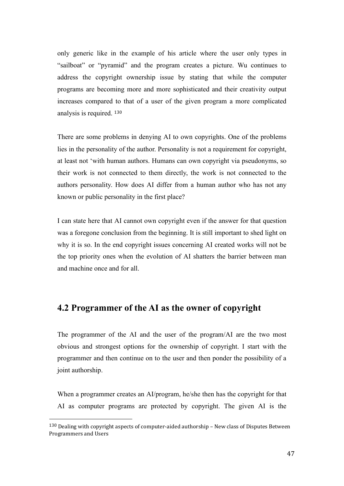only generic like in the example of his article where the user only types in "sailboat" or "pyramid" and the program creates a picture. Wu continues to address the copyright ownership issue by stating that while the computer programs are becoming more and more sophisticated and their creativity output increases compared to that of a user of the given program a more complicated analysis is required. <sup>130</sup>

There are some problems in denying AI to own copyrights. One of the problems lies in the personality of the author. Personality is not a requirement for copyright, at least not 'with human authors. Humans can own copyright via pseudonyms, so their work is not connected to them directly, the work is not connected to the authors personality. How does AI differ from a human author who has not any known or public personality in the first place?

I can state here that AI cannot own copyright even if the answer for that question was a foregone conclusion from the beginning. It is still important to shed light on why it is so. In the end copyright issues concerning AI created works will not be the top priority ones when the evolution of AI shatters the barrier between man and machine once and for all.

# <span id="page-58-0"></span>**4.2 Programmer of the AI as the owner of copyright**

The programmer of the AI and the user of the program/AI are the two most obvious and strongest options for the ownership of copyright. I start with the programmer and then continue on to the user and then ponder the possibility of a joint authorship.

When a programmer creates an AI/program, he/she then has the copyright for that AI as computer programs are protected by copyright. The given AI is the

 $130$  Dealing with copyright aspects of computer-aided authorship – New class of Disputes Between Programmers and Users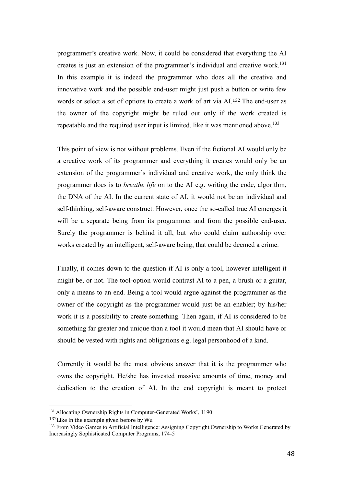programmer's creative work. Now, it could be considered that everything the AI creates is just an extension of the programmer's individual and creative work.<sup>131</sup> In this example it is indeed the programmer who does all the creative and innovative work and the possible end-user might just push a button or write few words or select a set of options to create a work of art via AI.<sup>132</sup> The end-user as the owner of the copyright might be ruled out only if the work created is repeatable and the required user input is limited, like it was mentioned above.<sup>133</sup>

This point of view is not without problems. Even if the fictional AI would only be a creative work of its programmer and everything it creates would only be an extension of the programmer's individual and creative work, the only think the programmer does is to *breathe life* on to the AI e.g. writing the code, algorithm, the DNA of the AI. In the current state of AI, it would not be an individual and self-thinking, self-aware construct. However, once the so-called true AI emerges it will be a separate being from its programmer and from the possible end-user. Surely the programmer is behind it all, but who could claim authorship over works created by an intelligent, self-aware being, that could be deemed a crime.

Finally, it comes down to the question if AI is only a tool, however intelligent it might be, or not. The tool-option would contrast AI to a pen, a brush or a guitar, only a means to an end. Being a tool would argue against the programmer as the owner of the copyright as the programmer would just be an enabler; by his/her work it is a possibility to create something. Then again, if AI is considered to be something far greater and unique than a tool it would mean that AI should have or should be vested with rights and obligations e.g. legal personhood of a kind.

Currently it would be the most obvious answer that it is the programmer who owns the copyright. He/she has invested massive amounts of time, money and dedication to the creation of AI. In the end copyright is meant to protect

<sup>&</sup>lt;sup>131</sup> Allocating Ownership Rights in Computer-Generated Works', 1190

<sup>132</sup>Like in the example given before by Wu

<sup>&</sup>lt;sup>133</sup> From Video Games to Artificial Intelligence: Assigning Copyright Ownership to Works Generated by Increasingly Sophisticated Computer Programs, 174-5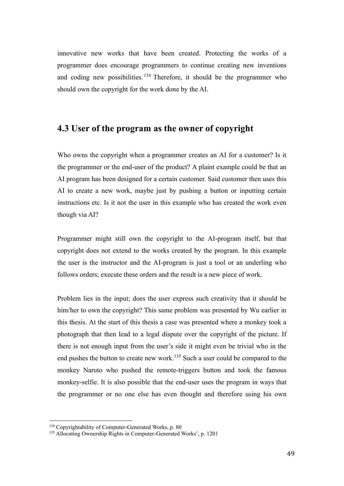innovative new works that have been created. Protecting the works of a programmer does encourage programmers to continue creating new inventions and coding new possibilities.  $134$  Therefore, it should be the programmer who should own the copyright for the work done by the AI.

### <span id="page-60-0"></span>**4.3 User of the program as the owner of copyright**

Who owns the copyright when a programmer creates an AI for a customer? Is it the programmer or the end-user of the product? A plaint example could be that an AI program has been designed for a certain customer. Said customer then uses this AI to create a new work, maybe just by pushing a button or inputting certain instructions etc. Is it not the user in this example who has created the work even though via AI?

Programmer might still own the copyright to the AI-program itself, but that copyright does not extend to the works created by the program. In this example the user is the instructor and the AI-program is just a tool or an underling who follows orders; execute these orders and the result is a new piece of work.

Problem lies in the input; does the user express such creativity that it should be him/her to own the copyright? This same problem was presented by Wu earlier in this thesis. At the start of this thesis a case was presented where a monkey took a photograph that then lead to a legal dispute over the copyright of the picture. If there is not enough input from the user's side it might even be trivial who in the end pushes the button to create new work.<sup>135</sup> Such a user could be compared to the monkey Naruto who pushed the remote-triggers button and took the famous monkey-selfie. It is also possible that the end-user uses the program in ways that the programmer or no one else has even thought and therefore using his own

<sup>&</sup>lt;sup>134</sup> Copyrightability of Computer-Generated Works, p. 80

<sup>&</sup>lt;sup>135</sup> Allocating Ownership Rights in Computer-Generated Works', p. 1201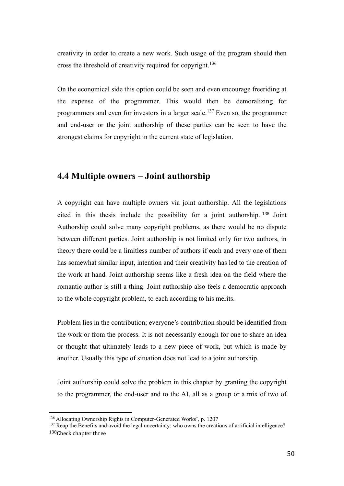creativity in order to create a new work. Such usage of the program should then cross the threshold of creativity required for copyright.<sup>136</sup>

On the economical side this option could be seen and even encourage freeriding at the expense of the programmer. This would then be demoralizing for programmers and even for investors in a larger scale.<sup>137</sup> Even so, the programmer and end-user or the joint authorship of these parties can be seen to have the strongest claims for copyright in the current state of legislation.

# <span id="page-61-0"></span>**4.4 Multiple owners – Joint authorship**

A copyright can have multiple owners via joint authorship. All the legislations cited in this thesis include the possibility for a joint authorship. <sup>138</sup> Joint Authorship could solve many copyright problems, as there would be no dispute between different parties. Joint authorship is not limited only for two authors, in theory there could be a limitless number of authors if each and every one of them has somewhat similar input, intention and their creativity has led to the creation of the work at hand. Joint authorship seems like a fresh idea on the field where the romantic author is still a thing. Joint authorship also feels a democratic approach to the whole copyright problem, to each according to his merits.

Problem lies in the contribution; everyone's contribution should be identified from the work or from the process. It is not necessarily enough for one to share an idea or thought that ultimately leads to a new piece of work, but which is made by another. Usually this type of situation does not lead to a joint authorship.

Joint authorship could solve the problem in this chapter by granting the copyright to the programmer, the end-user and to the AI, all as a group or a mix of two of

<sup>136</sup> Allocating Ownership Rights in Computer-Generated Works', p. 1207

<sup>&</sup>lt;sup>137</sup> Reap the Benefits and avoid the legal uncertainty: who owns the creations of artificial intelligence? 138Check chapter three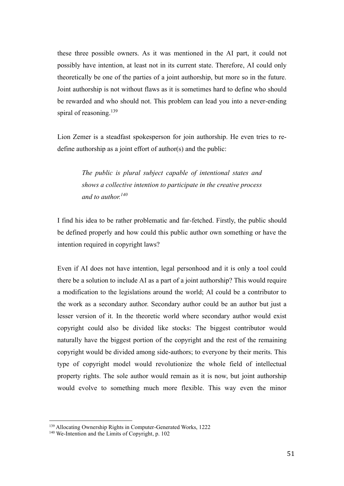these three possible owners. As it was mentioned in the AI part, it could not possibly have intention, at least not in its current state. Therefore, AI could only theoretically be one of the parties of a joint authorship, but more so in the future. Joint authorship is not without flaws as it is sometimes hard to define who should be rewarded and who should not. This problem can lead you into a never-ending spiral of reasoning.<sup>139</sup>

Lion Zemer is a steadfast spokesperson for join authorship. He even tries to redefine authorship as a joint effort of author(s) and the public:

> *The public is plural subject capable of intentional states and shows a collective intention to participate in the creative process and to author.<sup>140</sup>*

I find his idea to be rather problematic and far-fetched. Firstly, the public should be defined properly and how could this public author own something or have the intention required in copyright laws?

Even if AI does not have intention, legal personhood and it is only a tool could there be a solution to include AI as a part of a joint authorship? This would require a modification to the legislations around the world; AI could be a contributor to the work as a secondary author. Secondary author could be an author but just a lesser version of it. In the theoretic world where secondary author would exist copyright could also be divided like stocks: The biggest contributor would naturally have the biggest portion of the copyright and the rest of the remaining copyright would be divided among side-authors; to everyone by their merits. This type of copyright model would revolutionize the whole field of intellectual property rights. The sole author would remain as it is now, but joint authorship would evolve to something much more flexible. This way even the minor

<sup>139</sup> Allocating Ownership Rights in Computer-Generated Works, 1222

<sup>&</sup>lt;sup>140</sup> We-Intention and the Limits of Copyright, p. 102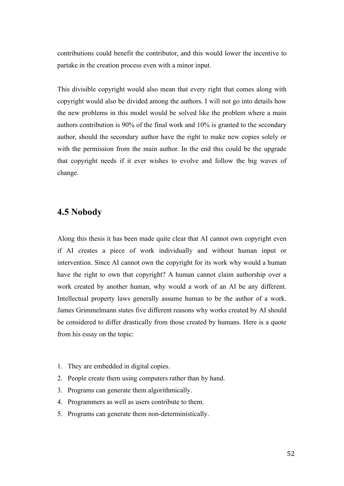contributions could benefit the contributor, and this would lower the incentive to partake in the creation process even with a minor input.

This divisible copyright would also mean that every right that comes along with copyright would also be divided among the authors. I will not go into details how the new problems in this model would be solved like the problem where a main authors contribution is 90% of the final work and 10% is granted to the secondary author, should the secondary author have the right to make new copies solely or with the permission from the main author. In the end this could be the upgrade that copyright needs if it ever wishes to evolve and follow the big waves of change.

# <span id="page-63-0"></span>**4.5 Nobody**

Along this thesis it has been made quite clear that AI cannot own copyright even if AI creates a piece of work individually and without human input or intervention. Since AI cannot own the copyright for its work why would a human have the right to own that copyright? A human cannot claim authorship over a work created by another human, why would a work of an AI be any different. Intellectual property laws generally assume human to be the author of a work. James Grimmelmann states five different reasons why works created by AI should be considered to differ drastically from those created by humans. Here is a quote from his essay on the topic:

- 1. They are embedded in digital copies.
- 2. People create them using computers rather than by hand.
- 3. Programs can generate them algorithmically.
- 4. Programmers as well as users contribute to them.
- 5. Programs can generate them non-deterministically.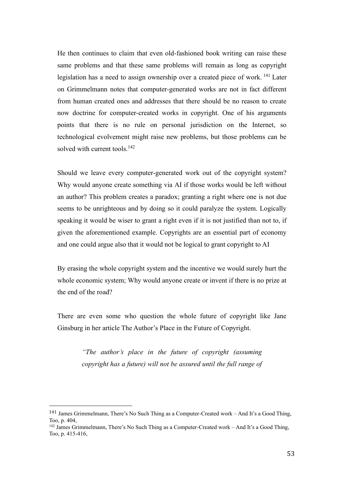He then continues to claim that even old-fashioned book writing can raise these same problems and that these same problems will remain as long as copyright legislation has a need to assign ownership over a created piece of work. <sup>141</sup> Later on Grimmelmann notes that computer-generated works are not in fact different from human created ones and addresses that there should be no reason to create now doctrine for computer-created works in copyright. One of his arguments points that there is no rule on personal jurisdiction on the Internet, so technological evolvement might raise new problems, but those problems can be solved with current tools.<sup>142</sup>

Should we leave every computer-generated work out of the copyright system? Why would anyone create something via AI if those works would be left without an author? This problem creates a paradox; granting a right where one is not due seems to be unrighteous and by doing so it could paralyze the system. Logically speaking it would be wiser to grant a right even if it is not justified than not to, if given the aforementioned example. Copyrights are an essential part of economy and one could argue also that it would not be logical to grant copyright to AI

By erasing the whole copyright system and the incentive we would surely hurt the whole economic system; Why would anyone create or invent if there is no prize at the end of the road?

There are even some who question the whole future of copyright like Jane Ginsburg in her article The Author's Place in the Future of Copyright.

> *"The author's place in the future of copyright (assuming copyright has a future) will not be assured until the full range of*

<sup>141</sup> James Grimmelmann, There's No Such Thing as a Computer-Created work – And It's a Good Thing, Too, p. 404,

<sup>142</sup> James Grimmelmann, There's No Such Thing as a Computer-Created work – And It's a Good Thing, Too, p. 415-416,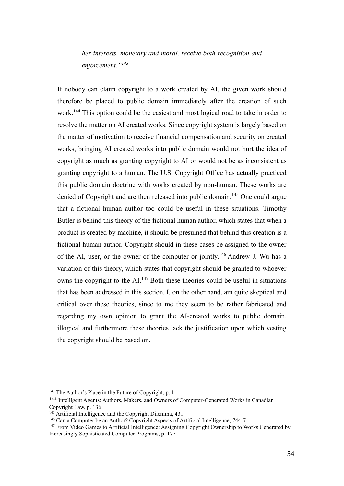*her interests, monetary and moral, receive both recognition and enforcement."<sup>143</sup>*

If nobody can claim copyright to a work created by AI, the given work should therefore be placed to public domain immediately after the creation of such work.<sup>144</sup> This option could be the easiest and most logical road to take in order to resolve the matter on AI created works. Since copyright system is largely based on the matter of motivation to receive financial compensation and security on created works, bringing AI created works into public domain would not hurt the idea of copyright as much as granting copyright to AI or would not be as inconsistent as granting copyright to a human. The U.S. Copyright Office has actually practiced this public domain doctrine with works created by non-human. These works are denied of Copyright and are then released into public domain.<sup>145</sup> One could argue that a fictional human author too could be useful in these situations. Timothy Butler is behind this theory of the fictional human author, which states that when a product is created by machine, it should be presumed that behind this creation is a fictional human author. Copyright should in these cases be assigned to the owner of the AI, user, or the owner of the computer or jointly.<sup>146</sup> Andrew J. Wu has a variation of this theory, which states that copyright should be granted to whoever owns the copyright to the  $AL<sup>147</sup>$  Both these theories could be useful in situations that has been addressed in this section. I, on the other hand, am quite skeptical and critical over these theories, since to me they seem to be rather fabricated and regarding my own opinion to grant the AI-created works to public domain, illogical and furthermore these theories lack the justification upon which vesting the copyright should be based on.

<sup>&</sup>lt;sup>143</sup> The Author's Place in the Future of Copyright, p. 1

<sup>144</sup> Intelligent Agents: Authors, Makers, and Owners of Computer-Generated Works in Canadian Copyright Law, p. 136

<sup>&</sup>lt;sup>145</sup> Artificial Intelligence and the Copyright Dilemma, 431

<sup>146</sup> Can a Computer be an Author? Copyright Aspects of Artificial Intelligence, 744-7

<sup>147</sup> From Video Games to Artificial Intelligence: Assigning Copyright Ownership to Works Generated by Increasingly Sophisticated Computer Programs, p. 177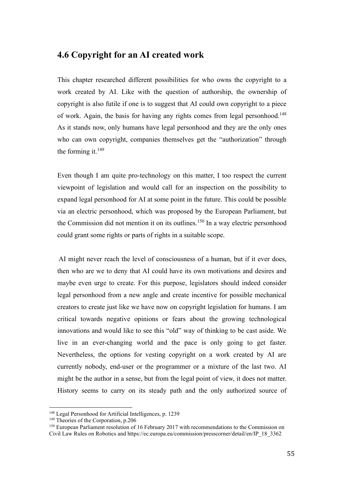# <span id="page-66-0"></span>**4.6 Copyright for an AI created work**

This chapter researched different possibilities for who owns the copyright to a work created by AI. Like with the question of authorship, the ownership of copyright is also futile if one is to suggest that AI could own copyright to a piece of work. Again, the basis for having any rights comes from legal personhood.<sup>148</sup> As it stands now, only humans have legal personhood and they are the only ones who can own copyright, companies themselves get the "authorization" through the forming it. $149$ 

Even though I am quite pro-technology on this matter, I too respect the current viewpoint of legislation and would call for an inspection on the possibility to expand legal personhood for AI at some point in the future. This could be possible via an electric personhood, which was proposed by the European Parliament, but the Commission did not mention it on its outlines.<sup>150</sup> In a way electric personhood could grant some rights or parts of rights in a suitable scope.

AI might never reach the level of consciousness of a human, but if it ever does, then who are we to deny that AI could have its own motivations and desires and maybe even urge to create. For this purpose, legislators should indeed consider legal personhood from a new angle and create incentive for possible mechanical creators to create just like we have now on copyright legislation for humans. I am critical towards negative opinions or fears about the growing technological innovations and would like to see this "old" way of thinking to be cast aside. We live in an ever-changing world and the pace is only going to get faster. Nevertheless, the options for vesting copyright on a work created by AI are currently nobody, end-user or the programmer or a mixture of the last two. AI might be the author in a sense, but from the legal point of view, it does not matter. History seems to carry on its steady path and the only authorized source of

<sup>148</sup> Legal Personhood for Artificial Intelligences, p. 1239

<sup>&</sup>lt;sup>149</sup> Theories of the Corporation, p.206

<sup>150</sup> European Parliament resolution of 16 February 2017 with recommendations to the Commission on Civil Law Rules on Robotics and https://ec.europa.eu/commission/presscorner/detail/en/IP\_18\_3362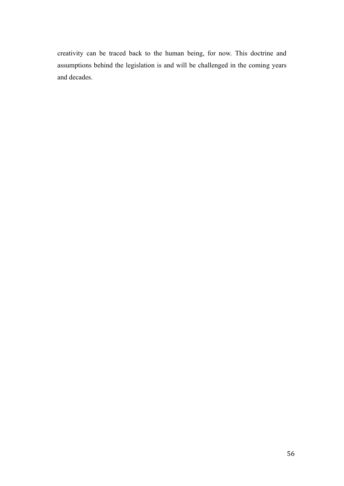creativity can be traced back to the human being, for now. This doctrine and assumptions behind the legislation is and will be challenged in the coming years and decades.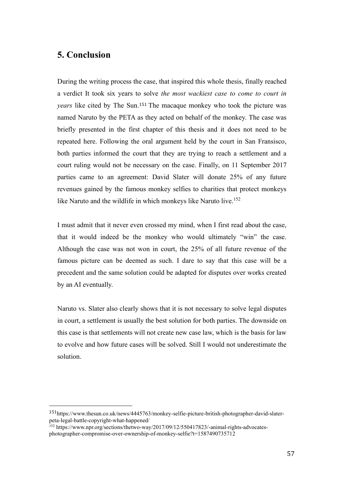# <span id="page-68-0"></span>**5. Conclusion**

During the writing process the case, that inspired this whole thesis, finally reached a verdict It took six years to solve *the most wackiest case to come to court in years* like cited by The Sun.<sup>151</sup> The macaque monkey who took the picture was named Naruto by the PETA as they acted on behalf of the monkey. The case was briefly presented in the first chapter of this thesis and it does not need to be repeated here. Following the oral argument held by the court in San Fransisco, both parties informed the court that they are trying to reach a settlement and a court ruling would not be necessary on the case. Finally, on 11 September 2017 parties came to an agreement: David Slater will donate 25% of any future revenues gained by the famous monkey selfies to charities that protect monkeys like Naruto and the wildlife in which monkeys like Naruto live.<sup>152</sup>

I must admit that it never even crossed my mind, when I first read about the case, that it would indeed be the monkey who would ultimately "win" the case. Although the case was not won in court, the 25% of all future revenue of the famous picture can be deemed as such. I dare to say that this case will be a precedent and the same solution could be adapted for disputes over works created by an AI eventually.

Naruto vs. Slater also clearly shows that it is not necessary to solve legal disputes in court, a settlement is usually the best solution for both parties. The downside on this case is that settlements will not create new case law, which is the basis for law to evolve and how future cases will be solved. Still I would not underestimate the solution.

<sup>151</sup>https://www.thesun.co.uk/news/4445763/monkey-selfie-picture-british-photographer-david-slaterpeta-legal-battle-copyright-what-happened/

<sup>&</sup>lt;sup>152</sup> https://www.npr.org/sections/thetwo-way/2017/09/12/550417823/-animal-rights-advocatesphotographer-compromise-over-ownership-of-monkey-selfie?t=1587490735712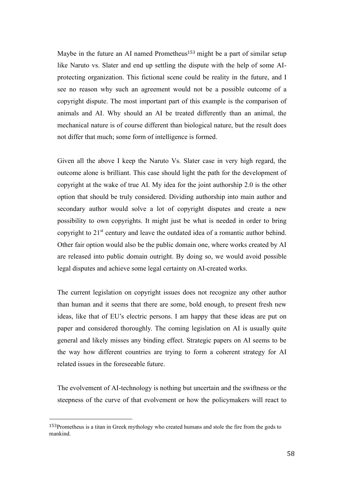Maybe in the future an AI named Prometheus<sup>153</sup> might be a part of similar setup like Naruto vs. Slater and end up settling the dispute with the help of some AIprotecting organization. This fictional scene could be reality in the future, and I see no reason why such an agreement would not be a possible outcome of a copyright dispute. The most important part of this example is the comparison of animals and AI. Why should an AI be treated differently than an animal, the mechanical nature is of course different than biological nature, but the result does not differ that much; some form of intelligence is formed.

Given all the above I keep the Naruto Vs. Slater case in very high regard, the outcome alone is brilliant. This case should light the path for the development of copyright at the wake of true AI. My idea for the joint authorship 2.0 is the other option that should be truly considered. Dividing authorship into main author and secondary author would solve a lot of copyright disputes and create a new possibility to own copyrights. It might just be what is needed in order to bring copyright to 21<sup>st</sup> century and leave the outdated idea of a romantic author behind. Other fair option would also be the public domain one, where works created by AI are released into public domain outright. By doing so, we would avoid possible legal disputes and achieve some legal certainty on AI-created works.

The current legislation on copyright issues does not recognize any other author than human and it seems that there are some, bold enough, to present fresh new ideas, like that of EU's electric persons. I am happy that these ideas are put on paper and considered thoroughly. The coming legislation on AI is usually quite general and likely misses any binding effect. Strategic papers on AI seems to be the way how different countries are trying to form a coherent strategy for AI related issues in the foreseeable future.

The evolvement of AI-technology is nothing but uncertain and the swiftness or the steepness of the curve of that evolvement or how the policymakers will react to

<sup>153</sup>Prometheus is a titan in Greek mythology who created humans and stole the fire from the gods to mankind.